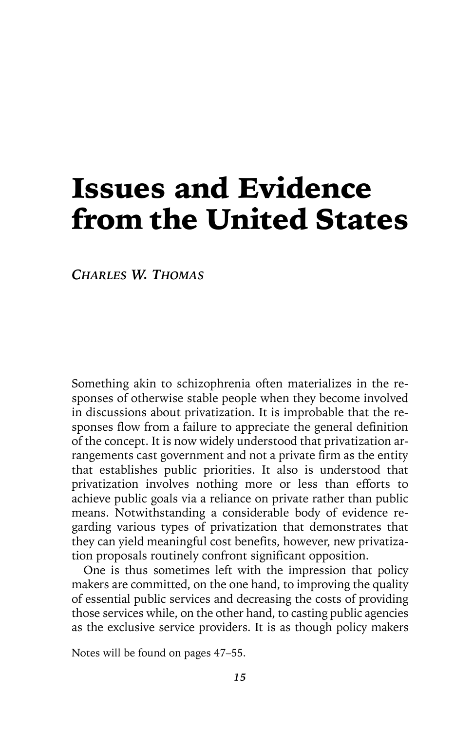# Issues and Evidence from the United States

*CHARLES W. THOMAS*

Something akin to schizophrenia often materializes in the responses of otherwise stable people when they become involved in discussions about privatization. It is improbable that the responses flow from a failure to appreciate the general definition of the concept. It is now widely understood that privatization arrangements cast government and not a private firm as the entity that establishes public priorities. It also is understood that privatization involves nothing more or less than efforts to achieve public goals via a reliance on private rather than public means. Notwithstanding a considerable body of evidence regarding various types of privatization that demonstrates that they can yield meaningful cost benefits, however, new privatization proposals routinely confront significant opposition.

One is thus sometimes left with the impression that policy makers are committed, on the one hand, to improving the quality of essential public services and decreasing the costs of providing those services while, on the other hand, to casting public agencies as the exclusive service providers. It is as though policy makers

Notes will be found on pages 47–55.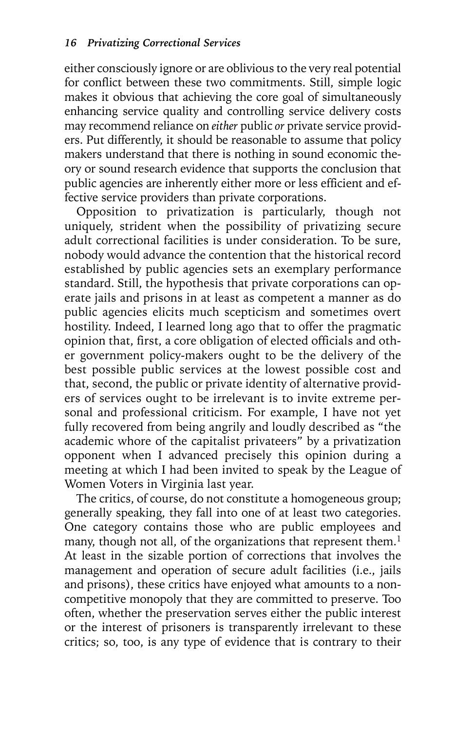either consciously ignore or are oblivious to the very real potential for conflict between these two commitments. Still, simple logic makes it obvious that achieving the core goal of simultaneously enhancing service quality and controlling service delivery costs may recommend reliance on *either* public *or* private service providers. Put differently, it should be reasonable to assume that policy makers understand that there is nothing in sound economic theory or sound research evidence that supports the conclusion that public agencies are inherently either more or less efficient and effective service providers than private corporations.

Opposition to privatization is particularly, though not uniquely, strident when the possibility of privatizing secure adult correctional facilities is under consideration. To be sure, nobody would advance the contention that the historical record established by public agencies sets an exemplary performance standard. Still, the hypothesis that private corporations can operate jails and prisons in at least as competent a manner as do public agencies elicits much scepticism and sometimes overt hostility. Indeed, I learned long ago that to offer the pragmatic opinion that, first, a core obligation of elected officials and other government policy-makers ought to be the delivery of the best possible public services at the lowest possible cost and that, second, the public or private identity of alternative providers of services ought to be irrelevant is to invite extreme personal and professional criticism. For example, I have not yet fully recovered from being angrily and loudly described as "the academic whore of the capitalist privateers" by a privatization opponent when I advanced precisely this opinion during a meeting at which I had been invited to speak by the League of Women Voters in Virginia last year.

The critics, of course, do not constitute a homogeneous group; generally speaking, they fall into one of at least two categories. One category contains those who are public employees and many, though not all, of the organizations that represent them.<sup>1</sup> At least in the sizable portion of corrections that involves the management and operation of secure adult facilities (i.e., jails and prisons), these critics have enjoyed what amounts to a noncompetitive monopoly that they are committed to preserve. Too often, whether the preservation serves either the public interest or the interest of prisoners is transparently irrelevant to these critics; so, too, is any type of evidence that is contrary to their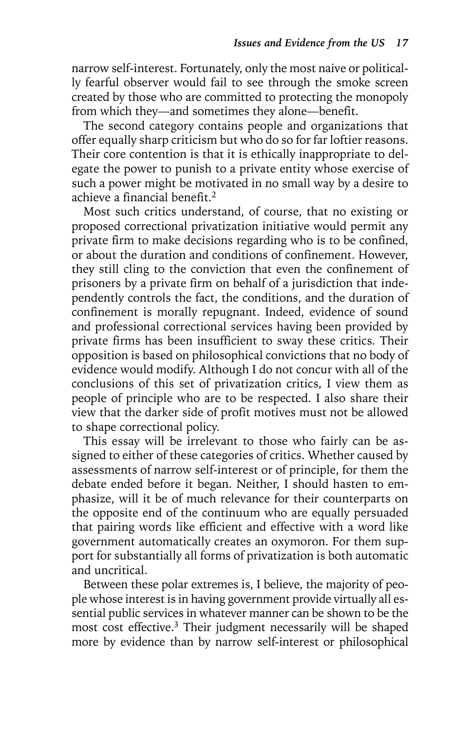narrow self-interest. Fortunately, only the most naive or politically fearful observer would fail to see through the smoke screen created by those who are committed to protecting the monopoly from which they—and sometimes they alone—benefit.

The second category contains people and organizations that offer equally sharp criticism but who do so for far loftier reasons. Their core contention is that it is ethically inappropriate to delegate the power to punish to a private entity whose exercise of such a power might be motivated in no small way by a desire to achieve a financial benefit.2

Most such critics understand, of course, that no existing or proposed correctional privatization initiative would permit any private firm to make decisions regarding who is to be confined, or about the duration and conditions of confinement. However, they still cling to the conviction that even the confinement of prisoners by a private firm on behalf of a jurisdiction that independently controls the fact, the conditions, and the duration of confinement is morally repugnant. Indeed, evidence of sound and professional correctional services having been provided by private firms has been insufficient to sway these critics. Their opposition is based on philosophical convictions that no body of evidence would modify. Although I do not concur with all of the conclusions of this set of privatization critics, I view them as people of principle who are to be respected. I also share their view that the darker side of profit motives must not be allowed to shape correctional policy.

This essay will be irrelevant to those who fairly can be assigned to either of these categories of critics. Whether caused by assessments of narrow self-interest or of principle, for them the debate ended before it began. Neither, I should hasten to emphasize, will it be of much relevance for their counterparts on the opposite end of the continuum who are equally persuaded that pairing words like efficient and effective with a word like government automatically creates an oxymoron. For them support for substantially all forms of privatization is both automatic and uncritical.

Between these polar extremes is, I believe, the majority of people whose interest is in having government provide virtually all essential public services in whatever manner can be shown to be the most cost effective.3 Their judgment necessarily will be shaped more by evidence than by narrow self-interest or philosophical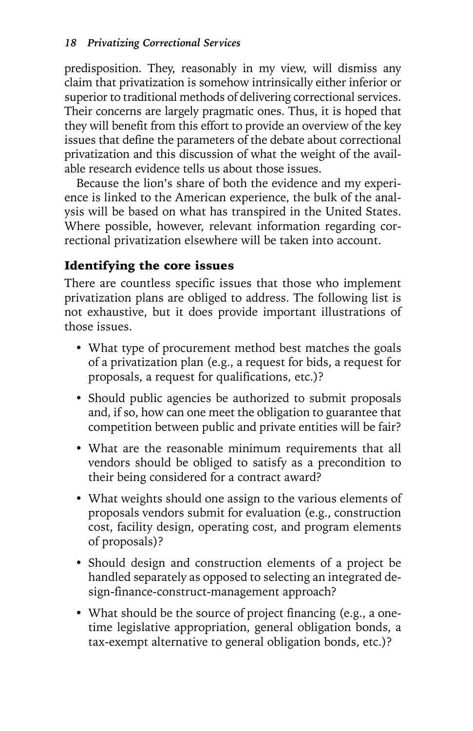predisposition. They, reasonably in my view, will dismiss any claim that privatization is somehow intrinsically either inferior or superior to traditional methods of delivering correctional services. Their concerns are largely pragmatic ones. Thus, it is hoped that they will benefit from this effort to provide an overview of the key issues that define the parameters of the debate about correctional privatization and this discussion of what the weight of the available research evidence tells us about those issues.

Because the lion's share of both the evidence and my experience is linked to the American experience, the bulk of the analysis will be based on what has transpired in the United States. Where possible, however, relevant information regarding correctional privatization elsewhere will be taken into account.

# Identifying the core issues

There are countless specific issues that those who implement privatization plans are obliged to address. The following list is not exhaustive, but it does provide important illustrations of those issues.

- What type of procurement method best matches the goals of a privatization plan (e.g., a request for bids, a request for proposals, a request for qualifications, etc.)?
- Should public agencies be authorized to submit proposals and, if so, how can one meet the obligation to guarantee that competition between public and private entities will be fair?
- What are the reasonable minimum requirements that all vendors should be obliged to satisfy as a precondition to their being considered for a contract award?
- What weights should one assign to the various elements of proposals vendors submit for evaluation (e.g., construction cost, facility design, operating cost, and program elements of proposals)?
- Should design and construction elements of a project be handled separately as opposed to selecting an integrated design-finance-construct-management approach?
- What should be the source of project financing (e.g., a onetime legislative appropriation, general obligation bonds, a tax-exempt alternative to general obligation bonds, etc.)?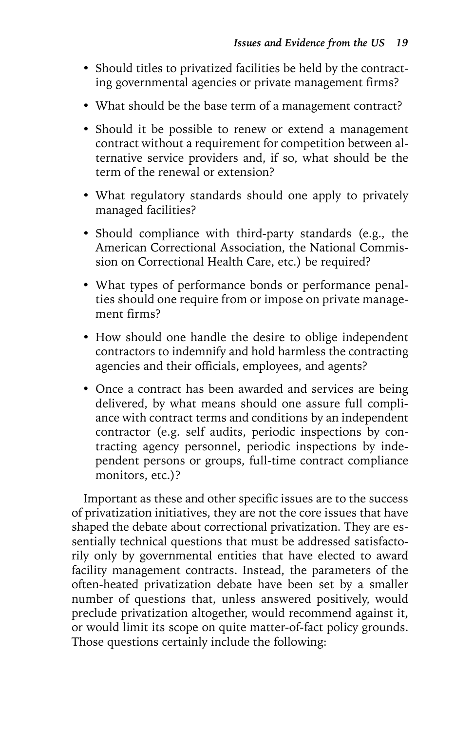- Should titles to privatized facilities be held by the contracting governmental agencies or private management firms?
- What should be the base term of a management contract?
- Should it be possible to renew or extend a management contract without a requirement for competition between alternative service providers and, if so, what should be the term of the renewal or extension?
- What regulatory standards should one apply to privately managed facilities?
- Should compliance with third-party standards (e.g., the American Correctional Association, the National Commission on Correctional Health Care, etc.) be required?
- What types of performance bonds or performance penalties should one require from or impose on private management firms?
- How should one handle the desire to oblige independent contractors to indemnify and hold harmless the contracting agencies and their officials, employees, and agents?
- Once a contract has been awarded and services are being delivered, by what means should one assure full compliance with contract terms and conditions by an independent contractor (e.g. self audits, periodic inspections by contracting agency personnel, periodic inspections by independent persons or groups, full-time contract compliance monitors, etc.)?

Important as these and other specific issues are to the success of privatization initiatives, they are not the core issues that have shaped the debate about correctional privatization. They are essentially technical questions that must be addressed satisfactorily only by governmental entities that have elected to award facility management contracts. Instead, the parameters of the often-heated privatization debate have been set by a smaller number of questions that, unless answered positively, would preclude privatization altogether, would recommend against it, or would limit its scope on quite matter-of-fact policy grounds. Those questions certainly include the following: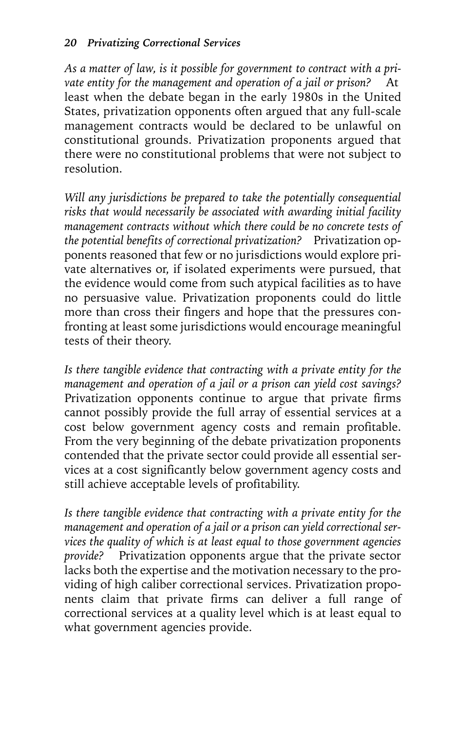*As a matter of law, is it possible for government to contract with a pri*vate entity for the management and operation of a jail or prison? At least when the debate began in the early 1980s in the United States, privatization opponents often argued that any full-scale management contracts would be declared to be unlawful on constitutional grounds. Privatization proponents argued that there were no constitutional problems that were not subject to resolution.

*Will any jurisdictions be prepared to take the potentially consequential risks that would necessarily be associated with awarding initial facility management contracts without which there could be no concrete tests of the potential benefits of correctional privatization?* Privatization opponents reasoned that few or no jurisdictions would explore private alternatives or, if isolated experiments were pursued, that the evidence would come from such atypical facilities as to have no persuasive value. Privatization proponents could do little more than cross their fingers and hope that the pressures confronting at least some jurisdictions would encourage meaningful tests of their theory.

*Is there tangible evidence that contracting with a private entity for the management and operation of a jail or a prison can yield cost savings?* Privatization opponents continue to argue that private firms cannot possibly provide the full array of essential services at a cost below government agency costs and remain profitable. From the very beginning of the debate privatization proponents contended that the private sector could provide all essential services at a cost significantly below government agency costs and still achieve acceptable levels of profitability.

*Is there tangible evidence that contracting with a private entity for the management and operation of a jail or a prison can yield correctional services the quality of which is at least equal to those government agencies provide?* Privatization opponents argue that the private sector lacks both the expertise and the motivation necessary to the providing of high caliber correctional services. Privatization proponents claim that private firms can deliver a full range of correctional services at a quality level which is at least equal to what government agencies provide.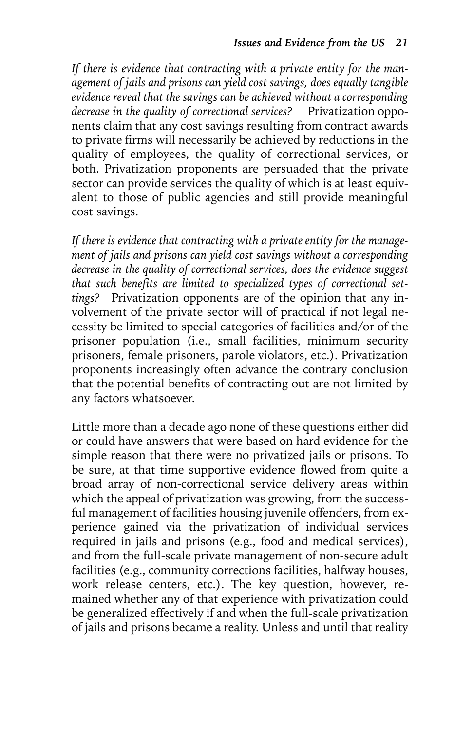*If there is evidence that contracting with a private entity for the management of jails and prisons can yield cost savings, does equally tangible evidence reveal that the savings can be achieved without a corresponding decrease in the quality of correctional services?* Privatization opponents claim that any cost savings resulting from contract awards to private firms will necessarily be achieved by reductions in the quality of employees, the quality of correctional services, or both. Privatization proponents are persuaded that the private sector can provide services the quality of which is at least equivalent to those of public agencies and still provide meaningful cost savings.

*If there is evidence that contracting with a private entity for the management of jails and prisons can yield cost savings without a corresponding decrease in the quality of correctional services, does the evidence suggest that such benefits are limited to specialized types of correctional settings?* Privatization opponents are of the opinion that any involvement of the private sector will of practical if not legal necessity be limited to special categories of facilities and/or of the prisoner population (i.e., small facilities, minimum security prisoners, female prisoners, parole violators, etc.). Privatization proponents increasingly often advance the contrary conclusion that the potential benefits of contracting out are not limited by any factors whatsoever.

Little more than a decade ago none of these questions either did or could have answers that were based on hard evidence for the simple reason that there were no privatized jails or prisons. To be sure, at that time supportive evidence flowed from quite a broad array of non-correctional service delivery areas within which the appeal of privatization was growing, from the successful management of facilities housing juvenile offenders, from experience gained via the privatization of individual services required in jails and prisons (e.g., food and medical services), and from the full-scale private management of non-secure adult facilities (e.g., community corrections facilities, halfway houses, work release centers, etc.). The key question, however, remained whether any of that experience with privatization could be generalized effectively if and when the full-scale privatization of jails and prisons became a reality. Unless and until that reality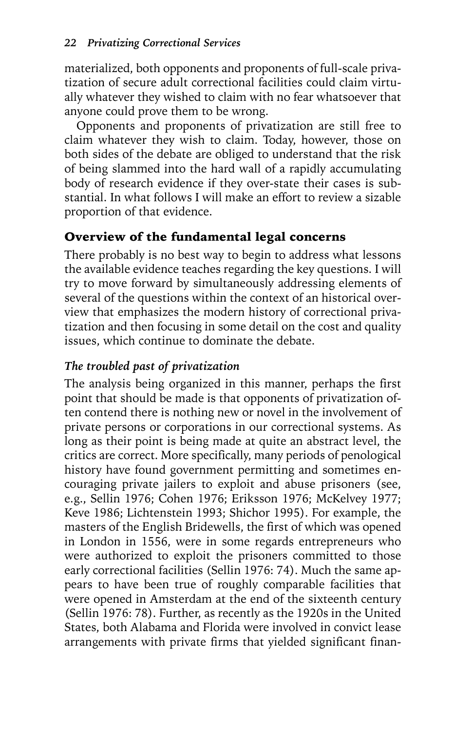materialized, both opponents and proponents of full-scale privatization of secure adult correctional facilities could claim virtually whatever they wished to claim with no fear whatsoever that anyone could prove them to be wrong.

Opponents and proponents of privatization are still free to claim whatever they wish to claim. Today, however, those on both sides of the debate are obliged to understand that the risk of being slammed into the hard wall of a rapidly accumulating body of research evidence if they over-state their cases is substantial. In what follows I will make an effort to review a sizable proportion of that evidence.

# Overview of the fundamental legal concerns

There probably is no best way to begin to address what lessons the available evidence teaches regarding the key questions. I will try to move forward by simultaneously addressing elements of several of the questions within the context of an historical overview that emphasizes the modern history of correctional privatization and then focusing in some detail on the cost and quality issues, which continue to dominate the debate.

# *The troubled past of privatization*

The analysis being organized in this manner, perhaps the first point that should be made is that opponents of privatization often contend there is nothing new or novel in the involvement of private persons or corporations in our correctional systems. As long as their point is being made at quite an abstract level, the critics are correct. More specifically, many periods of penological history have found government permitting and sometimes encouraging private jailers to exploit and abuse prisoners (see, e.g., Sellin 1976; Cohen 1976; Eriksson 1976; McKelvey 1977; Keve 1986; Lichtenstein 1993; Shichor 1995). For example, the masters of the English Bridewells, the first of which was opened in London in 1556, were in some regards entrepreneurs who were authorized to exploit the prisoners committed to those early correctional facilities (Sellin 1976: 74). Much the same appears to have been true of roughly comparable facilities that were opened in Amsterdam at the end of the sixteenth century (Sellin 1976: 78). Further, as recently as the 1920s in the United States, both Alabama and Florida were involved in convict lease arrangements with private firms that yielded significant finan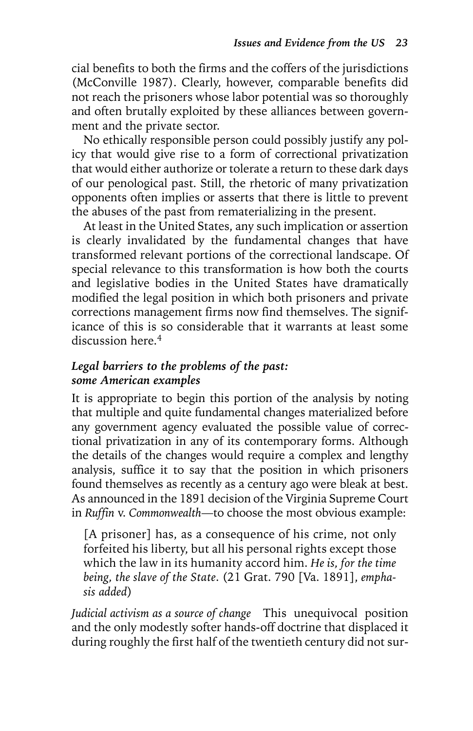cial benefits to both the firms and the coffers of the jurisdictions (McConville 1987). Clearly, however, comparable benefits did not reach the prisoners whose labor potential was so thoroughly and often brutally exploited by these alliances between government and the private sector.

No ethically responsible person could possibly justify any policy that would give rise to a form of correctional privatization that would either authorize or tolerate a return to these dark days of our penological past. Still, the rhetoric of many privatization opponents often implies or asserts that there is little to prevent the abuses of the past from rematerializing in the present.

At least in the United States, any such implication or assertion is clearly invalidated by the fundamental changes that have transformed relevant portions of the correctional landscape. Of special relevance to this transformation is how both the courts and legislative bodies in the United States have dramatically modified the legal position in which both prisoners and private corrections management firms now find themselves. The significance of this is so considerable that it warrants at least some discussion here.<sup>4</sup>

## *Legal barriers to the problems of the past: some American examples*

It is appropriate to begin this portion of the analysis by noting that multiple and quite fundamental changes materialized before any government agency evaluated the possible value of correctional privatization in any of its contemporary forms. Although the details of the changes would require a complex and lengthy analysis, suffice it to say that the position in which prisoners found themselves as recently as a century ago were bleak at best. As announced in the 1891 decision of the Virginia Supreme Court in *Ruffin* v. *Commonwealth*—to choose the most obvious example:

[A prisoner] has, as a consequence of his crime, not only forfeited his liberty, but all his personal rights except those which the law in its humanity accord him. *He is, for the time being, the slave of the State*. (21 Grat. 790 [Va. 1891], *emphasis added*)

*Judicial activism as a source of change* This unequivocal position and the only modestly softer hands-off doctrine that displaced it during roughly the first half of the twentieth century did not sur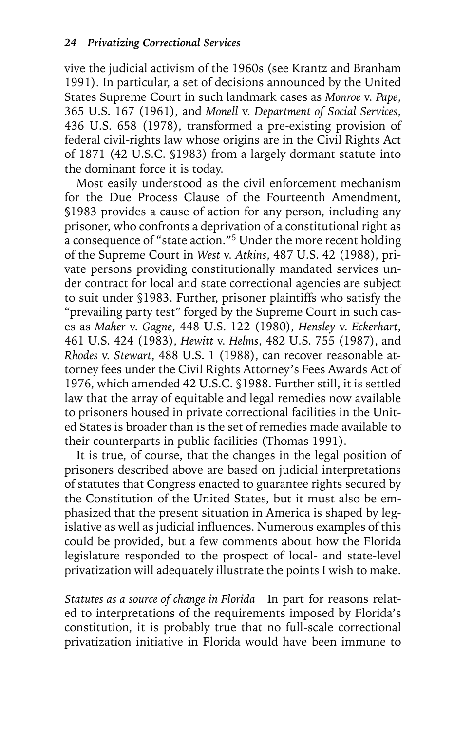vive the judicial activism of the 1960s (see Krantz and Branham 1991). In particular, a set of decisions announced by the United States Supreme Court in such landmark cases as *Monroe* v. *Pape*, 365 U.S. 167 (1961), and *Monell* v. *Department of Social Services*, 436 U.S. 658 (1978), transformed a pre-existing provision of federal civil-rights law whose origins are in the Civil Rights Act of 1871 (42 U.S.C. §1983) from a largely dormant statute into the dominant force it is today.

Most easily understood as the civil enforcement mechanism for the Due Process Clause of the Fourteenth Amendment, §1983 provides a cause of action for any person, including any prisoner, who confronts a deprivation of a constitutional right as a consequence of "state action."<sup>5</sup> Under the more recent holding of the Supreme Court in *West* v. *Atkins*, 487 U.S. 42 (1988), private persons providing constitutionally mandated services under contract for local and state correctional agencies are subject to suit under §1983. Further, prisoner plaintiffs who satisfy the "prevailing party test" forged by the Supreme Court in such cases as *Maher* v. *Gagne*, 448 U.S. 122 (1980), *Hensley* v. *Eckerhart*, 461 U.S. 424 (1983), *Hewitt* v. *Helms*, 482 U.S. 755 (1987), and *Rhodes* v. *Stewart*, 488 U.S. 1 (1988), can recover reasonable attorney fees under the Civil Rights Attorney's Fees Awards Act of 1976, which amended 42 U.S.C. §1988. Further still, it is settled law that the array of equitable and legal remedies now available to prisoners housed in private correctional facilities in the United States is broader than is the set of remedies made available to their counterparts in public facilities (Thomas 1991).

It is true, of course, that the changes in the legal position of prisoners described above are based on judicial interpretations of statutes that Congress enacted to guarantee rights secured by the Constitution of the United States, but it must also be emphasized that the present situation in America is shaped by legislative as well as judicial influences. Numerous examples of this could be provided, but a few comments about how the Florida legislature responded to the prospect of local- and state-level privatization will adequately illustrate the points I wish to make.

*Statutes as a source of change in Florida* In part for reasons related to interpretations of the requirements imposed by Florida's constitution, it is probably true that no full-scale correctional privatization initiative in Florida would have been immune to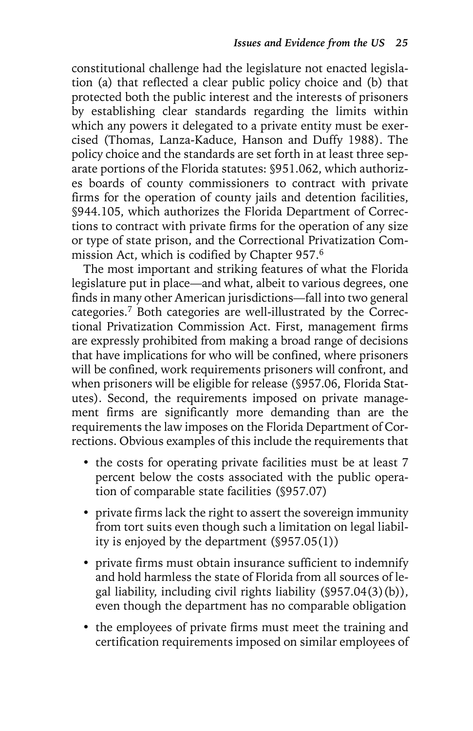constitutional challenge had the legislature not enacted legislation (a) that reflected a clear public policy choice and (b) that protected both the public interest and the interests of prisoners by establishing clear standards regarding the limits within which any powers it delegated to a private entity must be exercised (Thomas, Lanza-Kaduce, Hanson and Duffy 1988). The policy choice and the standards are set forth in at least three separate portions of the Florida statutes: §951.062, which authorizes boards of county commissioners to contract with private firms for the operation of county jails and detention facilities, §944.105, which authorizes the Florida Department of Corrections to contract with private firms for the operation of any size or type of state prison, and the Correctional Privatization Commission Act, which is codified by Chapter 957.6

The most important and striking features of what the Florida legislature put in place—and what, albeit to various degrees, one finds in many other American jurisdictions—fall into two general categories.7 Both categories are well-illustrated by the Correctional Privatization Commission Act. First, management firms are expressly prohibited from making a broad range of decisions that have implications for who will be confined, where prisoners will be confined, work requirements prisoners will confront, and when prisoners will be eligible for release (§957.06, Florida Statutes). Second, the requirements imposed on private management firms are significantly more demanding than are the requirements the law imposes on the Florida Department of Corrections. Obvious examples of this include the requirements that

- the costs for operating private facilities must be at least 7 percent below the costs associated with the public operation of comparable state facilities (§957.07)
- private firms lack the right to assert the sovereign immunity from tort suits even though such a limitation on legal liability is enjoyed by the department (§957.05(1))
- private firms must obtain insurance sufficient to indemnify and hold harmless the state of Florida from all sources of legal liability, including civil rights liability (§957.04(3)(b)), even though the department has no comparable obligation
- the employees of private firms must meet the training and certification requirements imposed on similar employees of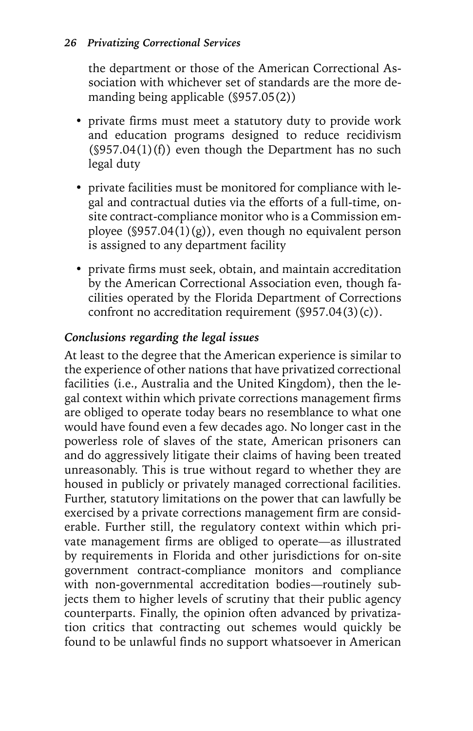the department or those of the American Correctional Association with whichever set of standards are the more demanding being applicable (§957.05(2))

- private firms must meet a statutory duty to provide work and education programs designed to reduce recidivism  $(\$957.04(1)(f))$  even though the Department has no such legal duty
- private facilities must be monitored for compliance with legal and contractual duties via the efforts of a full-time, onsite contract-compliance monitor who is a Commission employee ( $\S 957.04(1)(g)$ ), even though no equivalent person is assigned to any department facility
- private firms must seek, obtain, and maintain accreditation by the American Correctional Association even, though facilities operated by the Florida Department of Corrections confront no accreditation requirement (§957.04(3)(c)).

# *Conclusions regarding the legal issues*

At least to the degree that the American experience is similar to the experience of other nations that have privatized correctional facilities (i.e., Australia and the United Kingdom), then the legal context within which private corrections management firms are obliged to operate today bears no resemblance to what one would have found even a few decades ago. No longer cast in the powerless role of slaves of the state, American prisoners can and do aggressively litigate their claims of having been treated unreasonably. This is true without regard to whether they are housed in publicly or privately managed correctional facilities. Further, statutory limitations on the power that can lawfully be exercised by a private corrections management firm are considerable. Further still, the regulatory context within which private management firms are obliged to operate—as illustrated by requirements in Florida and other jurisdictions for on-site government contract-compliance monitors and compliance with non-governmental accreditation bodies—routinely subjects them to higher levels of scrutiny that their public agency counterparts. Finally, the opinion often advanced by privatization critics that contracting out schemes would quickly be found to be unlawful finds no support whatsoever in American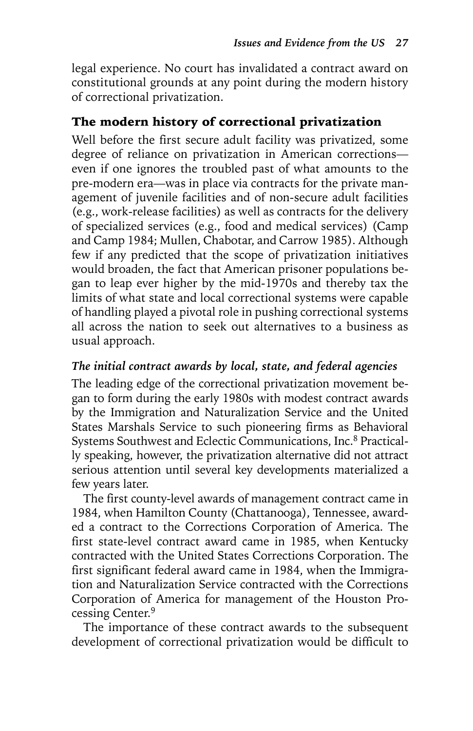legal experience. No court has invalidated a contract award on constitutional grounds at any point during the modern history of correctional privatization.

# The modern history of correctional privatization

Well before the first secure adult facility was privatized, some degree of reliance on privatization in American corrections even if one ignores the troubled past of what amounts to the pre-modern era—was in place via contracts for the private management of juvenile facilities and of non-secure adult facilities (e.g., work-release facilities) as well as contracts for the delivery of specialized services (e.g., food and medical services) (Camp and Camp 1984; Mullen, Chabotar, and Carrow 1985). Although few if any predicted that the scope of privatization initiatives would broaden, the fact that American prisoner populations began to leap ever higher by the mid-1970s and thereby tax the limits of what state and local correctional systems were capable of handling played a pivotal role in pushing correctional systems all across the nation to seek out alternatives to a business as usual approach.

### *The initial contract awards by local, state, and federal agencies*

The leading edge of the correctional privatization movement began to form during the early 1980s with modest contract awards by the Immigration and Naturalization Service and the United States Marshals Service to such pioneering firms as Behavioral Systems Southwest and Eclectic Communications, Inc.8 Practically speaking, however, the privatization alternative did not attract serious attention until several key developments materialized a few years later.

The first county-level awards of management contract came in 1984, when Hamilton County (Chattanooga), Tennessee, awarded a contract to the Corrections Corporation of America. The first state-level contract award came in 1985, when Kentucky contracted with the United States Corrections Corporation. The first significant federal award came in 1984, when the Immigration and Naturalization Service contracted with the Corrections Corporation of America for management of the Houston Processing Center.9

The importance of these contract awards to the subsequent development of correctional privatization would be difficult to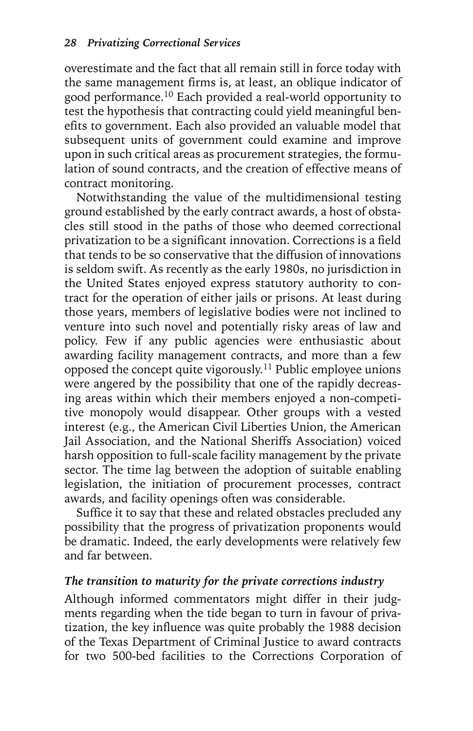overestimate and the fact that all remain still in force today with the same management firms is, at least, an oblique indicator of good performance.10 Each provided a real-world opportunity to test the hypothesis that contracting could yield meaningful benefits to government. Each also provided an valuable model that subsequent units of government could examine and improve upon in such critical areas as procurement strategies, the formulation of sound contracts, and the creation of effective means of contract monitoring.

Notwithstanding the value of the multidimensional testing ground established by the early contract awards, a host of obstacles still stood in the paths of those who deemed correctional privatization to be a significant innovation. Corrections is a field that tends to be so conservative that the diffusion of innovations is seldom swift. As recently as the early 1980s, no jurisdiction in the United States enjoyed express statutory authority to contract for the operation of either jails or prisons. At least during those years, members of legislative bodies were not inclined to venture into such novel and potentially risky areas of law and policy. Few if any public agencies were enthusiastic about awarding facility management contracts, and more than a few opposed the concept quite vigorously.11 Public employee unions were angered by the possibility that one of the rapidly decreasing areas within which their members enjoyed a non-competitive monopoly would disappear. Other groups with a vested interest (e.g., the American Civil Liberties Union, the American Jail Association, and the National Sheriffs Association) voiced harsh opposition to full-scale facility management by the private sector. The time lag between the adoption of suitable enabling legislation, the initiation of procurement processes, contract awards, and facility openings often was considerable.

Suffice it to say that these and related obstacles precluded any possibility that the progress of privatization proponents would be dramatic. Indeed, the early developments were relatively few and far between.

#### *The transition to maturity for the private corrections industry*

Although informed commentators might differ in their judgments regarding when the tide began to turn in favour of privatization, the key influence was quite probably the 1988 decision of the Texas Department of Criminal Justice to award contracts for two 500-bed facilities to the Corrections Corporation of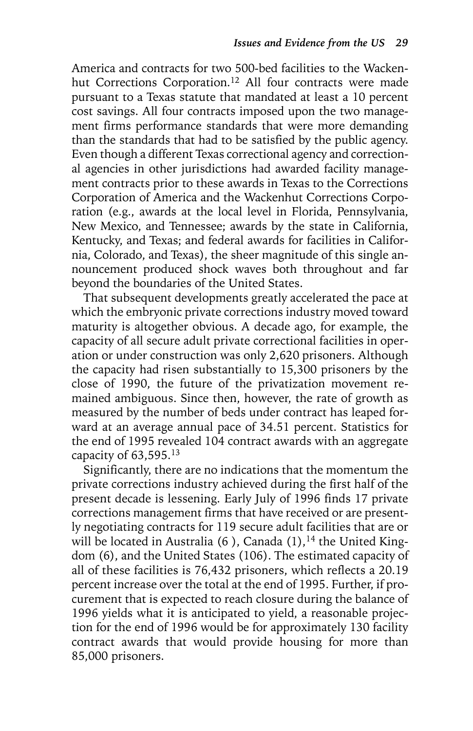America and contracts for two 500-bed facilities to the Wackenhut Corrections Corporation.<sup>12</sup> All four contracts were made pursuant to a Texas statute that mandated at least a 10 percent cost savings. All four contracts imposed upon the two management firms performance standards that were more demanding than the standards that had to be satisfied by the public agency. Even though a different Texas correctional agency and correctional agencies in other jurisdictions had awarded facility management contracts prior to these awards in Texas to the Corrections Corporation of America and the Wackenhut Corrections Corporation (e.g., awards at the local level in Florida, Pennsylvania, New Mexico, and Tennessee; awards by the state in California, Kentucky, and Texas; and federal awards for facilities in California, Colorado, and Texas), the sheer magnitude of this single announcement produced shock waves both throughout and far beyond the boundaries of the United States.

That subsequent developments greatly accelerated the pace at which the embryonic private corrections industry moved toward maturity is altogether obvious. A decade ago, for example, the capacity of all secure adult private correctional facilities in operation or under construction was only 2,620 prisoners. Although the capacity had risen substantially to 15,300 prisoners by the close of 1990, the future of the privatization movement remained ambiguous. Since then, however, the rate of growth as measured by the number of beds under contract has leaped forward at an average annual pace of 34.51 percent. Statistics for the end of 1995 revealed 104 contract awards with an aggregate capacity of 63,595.13

Significantly, there are no indications that the momentum the private corrections industry achieved during the first half of the present decade is lessening. Early July of 1996 finds 17 private corrections management firms that have received or are presently negotiating contracts for 119 secure adult facilities that are or will be located in Australia (6), Canada  $(1)$ , <sup>14</sup> the United Kingdom (6), and the United States (106). The estimated capacity of all of these facilities is 76,432 prisoners, which reflects a 20.19 percent increase over the total at the end of 1995. Further, if procurement that is expected to reach closure during the balance of 1996 yields what it is anticipated to yield, a reasonable projection for the end of 1996 would be for approximately 130 facility contract awards that would provide housing for more than 85,000 prisoners.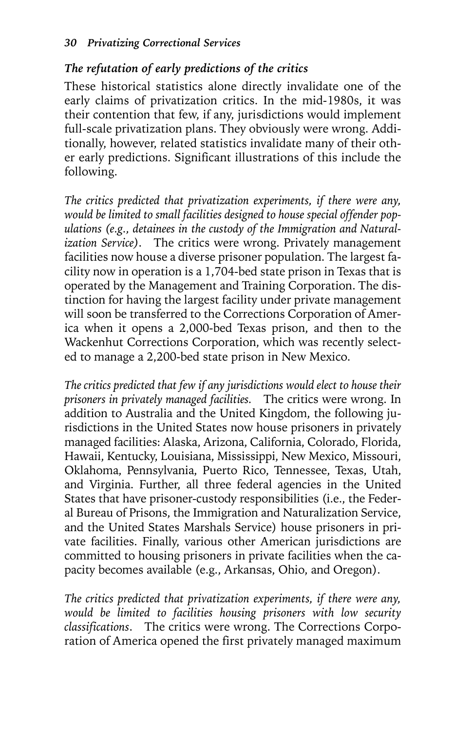# *The refutation of early predictions of the critics*

These historical statistics alone directly invalidate one of the early claims of privatization critics. In the mid-1980s, it was their contention that few, if any, jurisdictions would implement full-scale privatization plans. They obviously were wrong. Additionally, however, related statistics invalidate many of their other early predictions. Significant illustrations of this include the following.

*The critics predicted that privatization experiments, if there were any, would be limited to small facilities designed to house special offender populations (e.g., detainees in the custody of the Immigration and Naturalization Service)*. The critics were wrong. Privately management facilities now house a diverse prisoner population. The largest facility now in operation is a 1,704-bed state prison in Texas that is operated by the Management and Training Corporation. The distinction for having the largest facility under private management will soon be transferred to the Corrections Corporation of America when it opens a 2,000-bed Texas prison, and then to the Wackenhut Corrections Corporation, which was recently selected to manage a 2,200-bed state prison in New Mexico.

*The critics predicted that few if any jurisdictions would elect to house their prisoners in privately managed facilities.* The critics were wrong. In addition to Australia and the United Kingdom, the following jurisdictions in the United States now house prisoners in privately managed facilities: Alaska, Arizona, California, Colorado, Florida, Hawaii, Kentucky, Louisiana, Mississippi, New Mexico, Missouri, Oklahoma, Pennsylvania, Puerto Rico, Tennessee, Texas, Utah, and Virginia. Further, all three federal agencies in the United States that have prisoner-custody responsibilities (i.e., the Federal Bureau of Prisons, the Immigration and Naturalization Service, and the United States Marshals Service) house prisoners in private facilities. Finally, various other American jurisdictions are committed to housing prisoners in private facilities when the capacity becomes available (e.g., Arkansas, Ohio, and Oregon).

*The critics predicted that privatization experiments, if there were any, would be limited to facilities housing prisoners with low security classifications*. The critics were wrong. The Corrections Corporation of America opened the first privately managed maximum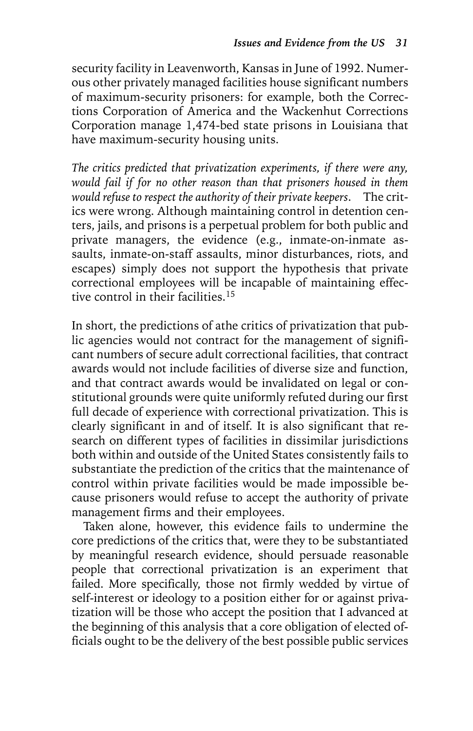security facility in Leavenworth, Kansas in June of 1992. Numerous other privately managed facilities house significant numbers of maximum-security prisoners: for example, both the Corrections Corporation of America and the Wackenhut Corrections Corporation manage 1,474-bed state prisons in Louisiana that have maximum-security housing units.

*The critics predicted that privatization experiments, if there were any, would fail if for no other reason than that prisoners housed in them would refuse to respect the authority of their private keepers*. The critics were wrong. Although maintaining control in detention centers, jails, and prisons is a perpetual problem for both public and private managers, the evidence (e.g., inmate-on-inmate assaults, inmate-on-staff assaults, minor disturbances, riots, and escapes) simply does not support the hypothesis that private correctional employees will be incapable of maintaining effective control in their facilities.15

In short, the predictions of athe critics of privatization that public agencies would not contract for the management of significant numbers of secure adult correctional facilities, that contract awards would not include facilities of diverse size and function, and that contract awards would be invalidated on legal or constitutional grounds were quite uniformly refuted during our first full decade of experience with correctional privatization. This is clearly significant in and of itself. It is also significant that research on different types of facilities in dissimilar jurisdictions both within and outside of the United States consistently fails to substantiate the prediction of the critics that the maintenance of control within private facilities would be made impossible because prisoners would refuse to accept the authority of private management firms and their employees.

Taken alone, however, this evidence fails to undermine the core predictions of the critics that, were they to be substantiated by meaningful research evidence, should persuade reasonable people that correctional privatization is an experiment that failed. More specifically, those not firmly wedded by virtue of self-interest or ideology to a position either for or against privatization will be those who accept the position that I advanced at the beginning of this analysis that a core obligation of elected officials ought to be the delivery of the best possible public services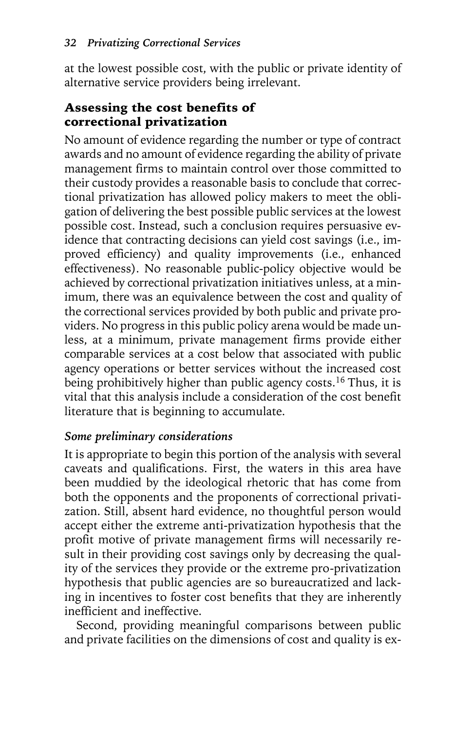at the lowest possible cost, with the public or private identity of alternative service providers being irrelevant.

# Assessing the cost benefits of correctional privatization

No amount of evidence regarding the number or type of contract awards and no amount of evidence regarding the ability of private management firms to maintain control over those committed to their custody provides a reasonable basis to conclude that correctional privatization has allowed policy makers to meet the obligation of delivering the best possible public services at the lowest possible cost. Instead, such a conclusion requires persuasive evidence that contracting decisions can yield cost savings (i.e., improved efficiency) and quality improvements (i.e., enhanced effectiveness). No reasonable public-policy objective would be achieved by correctional privatization initiatives unless, at a minimum, there was an equivalence between the cost and quality of the correctional services provided by both public and private providers. No progress in this public policy arena would be made unless, at a minimum, private management firms provide either comparable services at a cost below that associated with public agency operations or better services without the increased cost being prohibitively higher than public agency costs.<sup>16</sup> Thus, it is vital that this analysis include a consideration of the cost benefit literature that is beginning to accumulate.

# *Some preliminary considerations*

It is appropriate to begin this portion of the analysis with several caveats and qualifications. First, the waters in this area have been muddied by the ideological rhetoric that has come from both the opponents and the proponents of correctional privatization. Still, absent hard evidence, no thoughtful person would accept either the extreme anti-privatization hypothesis that the profit motive of private management firms will necessarily result in their providing cost savings only by decreasing the quality of the services they provide or the extreme pro-privatization hypothesis that public agencies are so bureaucratized and lacking in incentives to foster cost benefits that they are inherently inefficient and ineffective.

Second, providing meaningful comparisons between public and private facilities on the dimensions of cost and quality is ex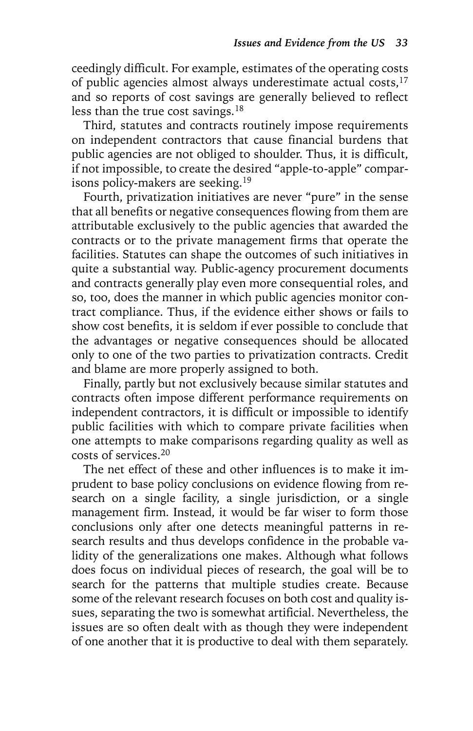ceedingly difficult. For example, estimates of the operating costs of public agencies almost always underestimate actual costs,<sup>17</sup> and so reports of cost savings are generally believed to reflect less than the true cost savings.<sup>18</sup>

Third, statutes and contracts routinely impose requirements on independent contractors that cause financial burdens that public agencies are not obliged to shoulder. Thus, it is difficult, if not impossible, to create the desired "apple-to-apple" comparisons policy-makers are seeking.19

Fourth, privatization initiatives are never "pure" in the sense that all benefits or negative consequences flowing from them are attributable exclusively to the public agencies that awarded the contracts or to the private management firms that operate the facilities. Statutes can shape the outcomes of such initiatives in quite a substantial way. Public-agency procurement documents and contracts generally play even more consequential roles, and so, too, does the manner in which public agencies monitor contract compliance. Thus, if the evidence either shows or fails to show cost benefits, it is seldom if ever possible to conclude that the advantages or negative consequences should be allocated only to one of the two parties to privatization contracts. Credit and blame are more properly assigned to both.

Finally, partly but not exclusively because similar statutes and contracts often impose different performance requirements on independent contractors, it is difficult or impossible to identify public facilities with which to compare private facilities when one attempts to make comparisons regarding quality as well as costs of services.20

The net effect of these and other influences is to make it imprudent to base policy conclusions on evidence flowing from research on a single facility, a single jurisdiction, or a single management firm. Instead, it would be far wiser to form those conclusions only after one detects meaningful patterns in research results and thus develops confidence in the probable validity of the generalizations one makes. Although what follows does focus on individual pieces of research, the goal will be to search for the patterns that multiple studies create. Because some of the relevant research focuses on both cost and quality issues, separating the two is somewhat artificial. Nevertheless, the issues are so often dealt with as though they were independent of one another that it is productive to deal with them separately.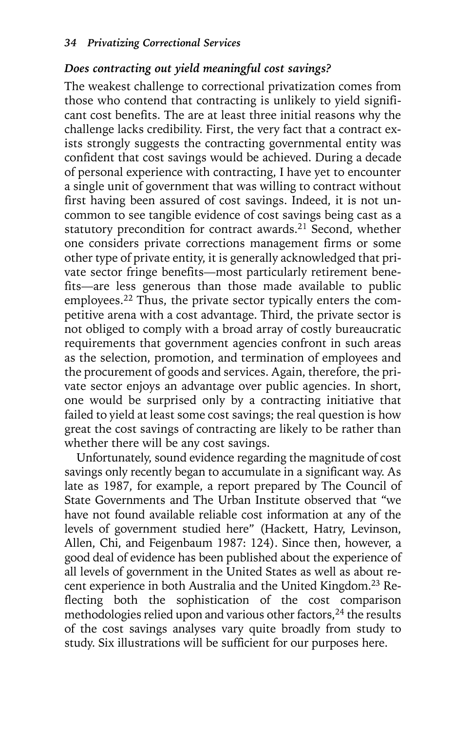#### *Does contracting out yield meaningful cost savings?*

The weakest challenge to correctional privatization comes from those who contend that contracting is unlikely to yield significant cost benefits. The are at least three initial reasons why the challenge lacks credibility. First, the very fact that a contract exists strongly suggests the contracting governmental entity was confident that cost savings would be achieved. During a decade of personal experience with contracting, I have yet to encounter a single unit of government that was willing to contract without first having been assured of cost savings. Indeed, it is not uncommon to see tangible evidence of cost savings being cast as a statutory precondition for contract awards.<sup>21</sup> Second, whether one considers private corrections management firms or some other type of private entity, it is generally acknowledged that private sector fringe benefits—most particularly retirement benefits—are less generous than those made available to public employees.<sup>22</sup> Thus, the private sector typically enters the competitive arena with a cost advantage. Third, the private sector is not obliged to comply with a broad array of costly bureaucratic requirements that government agencies confront in such areas as the selection, promotion, and termination of employees and the procurement of goods and services. Again, therefore, the private sector enjoys an advantage over public agencies. In short, one would be surprised only by a contracting initiative that failed to yield at least some cost savings; the real question is how great the cost savings of contracting are likely to be rather than whether there will be any cost savings.

Unfortunately, sound evidence regarding the magnitude of cost savings only recently began to accumulate in a significant way. As late as 1987, for example, a report prepared by The Council of State Governments and The Urban Institute observed that "we have not found available reliable cost information at any of the levels of government studied here" (Hackett, Hatry, Levinson, Allen, Chi, and Feigenbaum 1987: 124). Since then, however, a good deal of evidence has been published about the experience of all levels of government in the United States as well as about recent experience in both Australia and the United Kingdom.<sup>23</sup> Reflecting both the sophistication of the cost comparison methodologies relied upon and various other factors,  $^{24}$  the results of the cost savings analyses vary quite broadly from study to study. Six illustrations will be sufficient for our purposes here.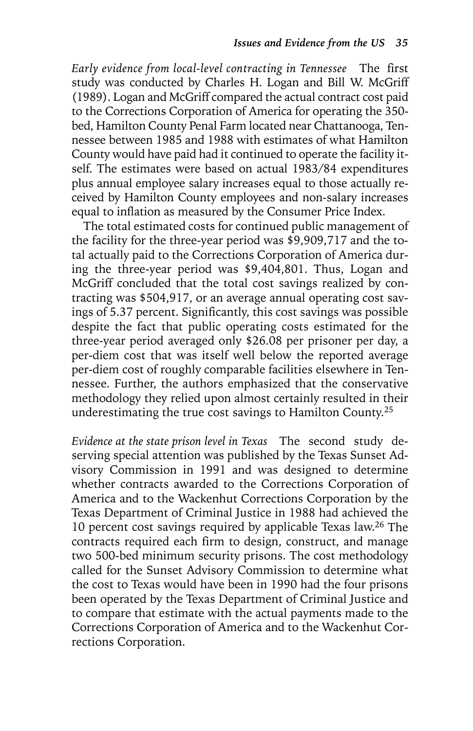*Early evidence from local-level contracting in Tennessee* The first study was conducted by Charles H. Logan and Bill W. McGriff (1989). Logan and McGriff compared the actual contract cost paid to the Corrections Corporation of America for operating the 350 bed, Hamilton County Penal Farm located near Chattanooga, Tennessee between 1985 and 1988 with estimates of what Hamilton County would have paid had it continued to operate the facility itself. The estimates were based on actual 1983/84 expenditures plus annual employee salary increases equal to those actually received by Hamilton County employees and non-salary increases equal to inflation as measured by the Consumer Price Index.

The total estimated costs for continued public management of the facility for the three-year period was \$9,909,717 and the total actually paid to the Corrections Corporation of America during the three-year period was \$9,404,801. Thus, Logan and McGriff concluded that the total cost savings realized by contracting was \$504,917, or an average annual operating cost savings of 5.37 percent. Significantly, this cost savings was possible despite the fact that public operating costs estimated for the three-year period averaged only \$26.08 per prisoner per day, a per-diem cost that was itself well below the reported average per-diem cost of roughly comparable facilities elsewhere in Tennessee. Further, the authors emphasized that the conservative methodology they relied upon almost certainly resulted in their underestimating the true cost savings to Hamilton County.<sup>25</sup>

*Evidence at the state prison level in Texas* The second study deserving special attention was published by the Texas Sunset Advisory Commission in 1991 and was designed to determine whether contracts awarded to the Corrections Corporation of America and to the Wackenhut Corrections Corporation by the Texas Department of Criminal Justice in 1988 had achieved the 10 percent cost savings required by applicable Texas law.<sup>26</sup> The contracts required each firm to design, construct, and manage two 500-bed minimum security prisons. The cost methodology called for the Sunset Advisory Commission to determine what the cost to Texas would have been in 1990 had the four prisons been operated by the Texas Department of Criminal Justice and to compare that estimate with the actual payments made to the Corrections Corporation of America and to the Wackenhut Corrections Corporation.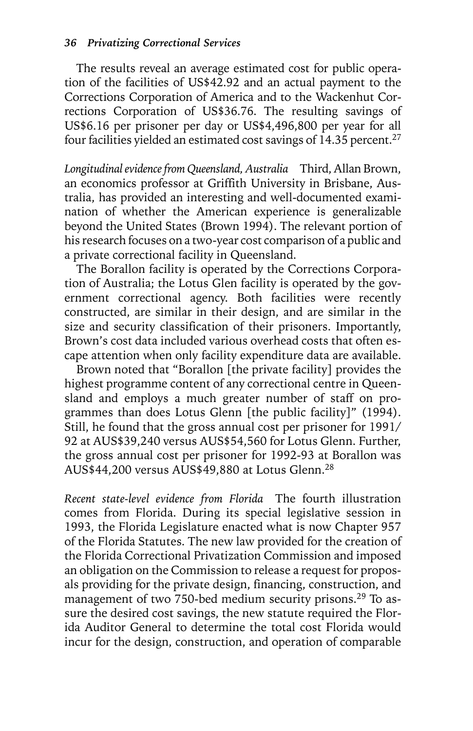The results reveal an average estimated cost for public operation of the facilities of US\$42.92 and an actual payment to the Corrections Corporation of America and to the Wackenhut Corrections Corporation of US\$36.76. The resulting savings of US\$6.16 per prisoner per day or US\$4,496,800 per year for all four facilities yielded an estimated cost savings of  $14.35$  percent.<sup>27</sup>

*Longitudinal evidence from Queensland, Australia* Third, Allan Brown, an economics professor at Griffith University in Brisbane, Australia, has provided an interesting and well-documented examination of whether the American experience is generalizable beyond the United States (Brown 1994). The relevant portion of his research focuses on a two-year cost comparison of a public and a private correctional facility in Queensland.

The Borallon facility is operated by the Corrections Corporation of Australia; the Lotus Glen facility is operated by the government correctional agency. Both facilities were recently constructed, are similar in their design, and are similar in the size and security classification of their prisoners. Importantly, Brown's cost data included various overhead costs that often escape attention when only facility expenditure data are available.

Brown noted that "Borallon [the private facility] provides the highest programme content of any correctional centre in Queensland and employs a much greater number of staff on programmes than does Lotus Glenn [the public facility]" (1994). Still, he found that the gross annual cost per prisoner for 1991/ 92 at AUS\$39,240 versus AUS\$54,560 for Lotus Glenn. Further, the gross annual cost per prisoner for 1992-93 at Borallon was AUS\$44,200 versus AUS\$49,880 at Lotus Glenn.28

*Recent state-level evidence from Florida* The fourth illustration comes from Florida. During its special legislative session in 1993, the Florida Legislature enacted what is now Chapter 957 of the Florida Statutes. The new law provided for the creation of the Florida Correctional Privatization Commission and imposed an obligation on the Commission to release a request for proposals providing for the private design, financing, construction, and management of two 750-bed medium security prisons.<sup>29</sup> To assure the desired cost savings, the new statute required the Florida Auditor General to determine the total cost Florida would incur for the design, construction, and operation of comparable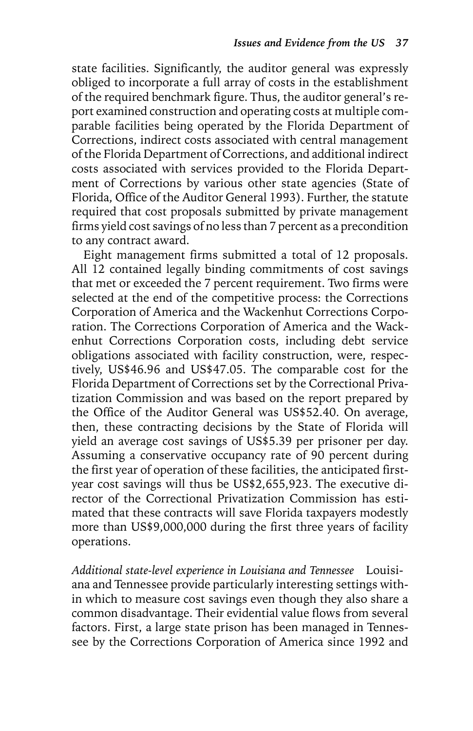state facilities. Significantly, the auditor general was expressly obliged to incorporate a full array of costs in the establishment of the required benchmark figure. Thus, the auditor general's report examined construction and operating costs at multiple comparable facilities being operated by the Florida Department of Corrections, indirect costs associated with central management of the Florida Department of Corrections, and additional indirect costs associated with services provided to the Florida Department of Corrections by various other state agencies (State of Florida, Office of the Auditor General 1993). Further, the statute required that cost proposals submitted by private management firms yield cost savings of no less than 7 percent as a precondition to any contract award.

Eight management firms submitted a total of 12 proposals. All 12 contained legally binding commitments of cost savings that met or exceeded the 7 percent requirement. Two firms were selected at the end of the competitive process: the Corrections Corporation of America and the Wackenhut Corrections Corporation. The Corrections Corporation of America and the Wackenhut Corrections Corporation costs, including debt service obligations associated with facility construction, were, respectively, US\$46.96 and US\$47.05. The comparable cost for the Florida Department of Corrections set by the Correctional Privatization Commission and was based on the report prepared by the Office of the Auditor General was US\$52.40. On average, then, these contracting decisions by the State of Florida will yield an average cost savings of US\$5.39 per prisoner per day. Assuming a conservative occupancy rate of 90 percent during the first year of operation of these facilities, the anticipated firstyear cost savings will thus be US\$2,655,923. The executive director of the Correctional Privatization Commission has estimated that these contracts will save Florida taxpayers modestly more than US\$9,000,000 during the first three years of facility operations.

*Additional state-level experience in Louisiana and Tennessee* Louisiana and Tennessee provide particularly interesting settings within which to measure cost savings even though they also share a common disadvantage. Their evidential value flows from several factors. First, a large state prison has been managed in Tennessee by the Corrections Corporation of America since 1992 and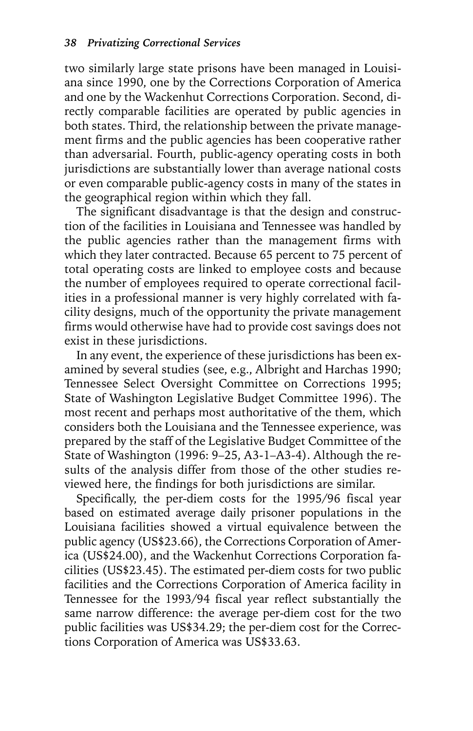two similarly large state prisons have been managed in Louisiana since 1990, one by the Corrections Corporation of America and one by the Wackenhut Corrections Corporation. Second, directly comparable facilities are operated by public agencies in both states. Third, the relationship between the private management firms and the public agencies has been cooperative rather than adversarial. Fourth, public-agency operating costs in both jurisdictions are substantially lower than average national costs or even comparable public-agency costs in many of the states in the geographical region within which they fall.

The significant disadvantage is that the design and construction of the facilities in Louisiana and Tennessee was handled by the public agencies rather than the management firms with which they later contracted. Because 65 percent to 75 percent of total operating costs are linked to employee costs and because the number of employees required to operate correctional facilities in a professional manner is very highly correlated with facility designs, much of the opportunity the private management firms would otherwise have had to provide cost savings does not exist in these jurisdictions.

In any event, the experience of these jurisdictions has been examined by several studies (see, e.g., Albright and Harchas 1990; Tennessee Select Oversight Committee on Corrections 1995; State of Washington Legislative Budget Committee 1996). The most recent and perhaps most authoritative of the them, which considers both the Louisiana and the Tennessee experience, was prepared by the staff of the Legislative Budget Committee of the State of Washington (1996: 9–25, A3-1–A3-4). Although the results of the analysis differ from those of the other studies reviewed here, the findings for both jurisdictions are similar.

Specifically, the per-diem costs for the 1995/96 fiscal year based on estimated average daily prisoner populations in the Louisiana facilities showed a virtual equivalence between the public agency (US\$23.66), the Corrections Corporation of America (US\$24.00), and the Wackenhut Corrections Corporation facilities (US\$23.45). The estimated per-diem costs for two public facilities and the Corrections Corporation of America facility in Tennessee for the 1993/94 fiscal year reflect substantially the same narrow difference: the average per-diem cost for the two public facilities was US\$34.29; the per-diem cost for the Corrections Corporation of America was US\$33.63.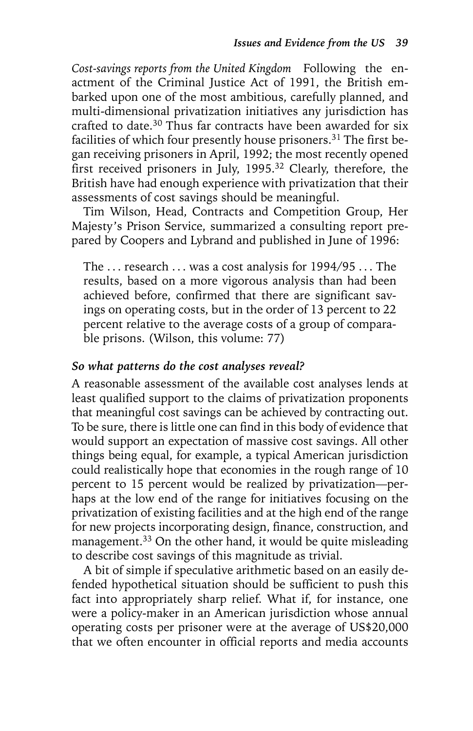*Cost-savings reports from the United Kingdom* Following the enactment of the Criminal Justice Act of 1991, the British embarked upon one of the most ambitious, carefully planned, and multi-dimensional privatization initiatives any jurisdiction has crafted to date.30 Thus far contracts have been awarded for six facilities of which four presently house prisoners.31 The first began receiving prisoners in April, 1992; the most recently opened first received prisoners in July, 1995.<sup>32</sup> Clearly, therefore, the British have had enough experience with privatization that their assessments of cost savings should be meaningful.

Tim Wilson, Head, Contracts and Competition Group, Her Majesty's Prison Service, summarized a consulting report prepared by Coopers and Lybrand and published in June of 1996:

The  $\ldots$  research  $\ldots$  was a cost analysis for 1994/95  $\ldots$  The results, based on a more vigorous analysis than had been achieved before, confirmed that there are significant savings on operating costs, but in the order of 13 percent to 22 percent relative to the average costs of a group of comparable prisons. (Wilson, this volume: 77)

#### *So what patterns do the cost analyses reveal?*

A reasonable assessment of the available cost analyses lends at least qualified support to the claims of privatization proponents that meaningful cost savings can be achieved by contracting out. To be sure, there is little one can find in this body of evidence that would support an expectation of massive cost savings. All other things being equal, for example, a typical American jurisdiction could realistically hope that economies in the rough range of 10 percent to 15 percent would be realized by privatization—perhaps at the low end of the range for initiatives focusing on the privatization of existing facilities and at the high end of the range for new projects incorporating design, finance, construction, and management.33 On the other hand, it would be quite misleading to describe cost savings of this magnitude as trivial.

A bit of simple if speculative arithmetic based on an easily defended hypothetical situation should be sufficient to push this fact into appropriately sharp relief. What if, for instance, one were a policy-maker in an American jurisdiction whose annual operating costs per prisoner were at the average of US\$20,000 that we often encounter in official reports and media accounts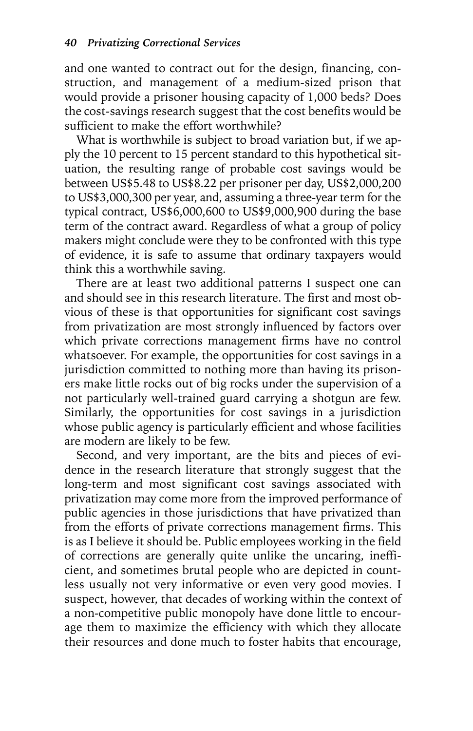and one wanted to contract out for the design, financing, construction, and management of a medium-sized prison that would provide a prisoner housing capacity of 1,000 beds? Does the cost-savings research suggest that the cost benefits would be sufficient to make the effort worthwhile?

What is worthwhile is subject to broad variation but, if we apply the 10 percent to 15 percent standard to this hypothetical situation, the resulting range of probable cost savings would be between US\$5.48 to US\$8.22 per prisoner per day, US\$2,000,200 to US\$3,000,300 per year, and, assuming a three-year term for the typical contract, US\$6,000,600 to US\$9,000,900 during the base term of the contract award. Regardless of what a group of policy makers might conclude were they to be confronted with this type of evidence, it is safe to assume that ordinary taxpayers would think this a worthwhile saving.

There are at least two additional patterns I suspect one can and should see in this research literature. The first and most obvious of these is that opportunities for significant cost savings from privatization are most strongly influenced by factors over which private corrections management firms have no control whatsoever. For example, the opportunities for cost savings in a jurisdiction committed to nothing more than having its prisoners make little rocks out of big rocks under the supervision of a not particularly well-trained guard carrying a shotgun are few. Similarly, the opportunities for cost savings in a jurisdiction whose public agency is particularly efficient and whose facilities are modern are likely to be few.

Second, and very important, are the bits and pieces of evidence in the research literature that strongly suggest that the long-term and most significant cost savings associated with privatization may come more from the improved performance of public agencies in those jurisdictions that have privatized than from the efforts of private corrections management firms. This is as I believe it should be. Public employees working in the field of corrections are generally quite unlike the uncaring, inefficient, and sometimes brutal people who are depicted in countless usually not very informative or even very good movies. I suspect, however, that decades of working within the context of a non-competitive public monopoly have done little to encourage them to maximize the efficiency with which they allocate their resources and done much to foster habits that encourage,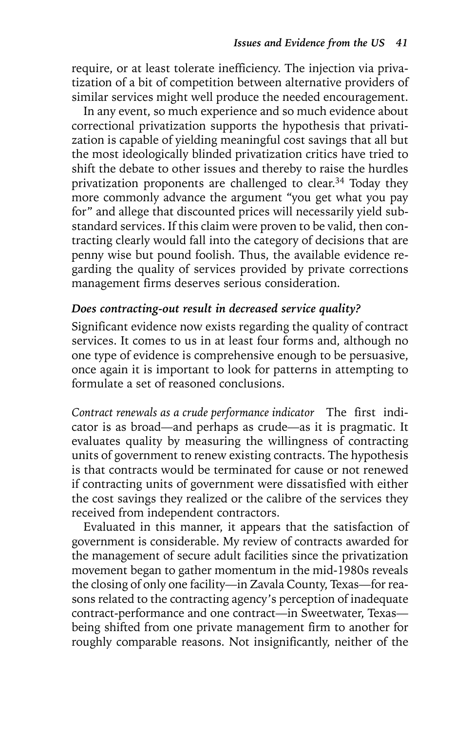require, or at least tolerate inefficiency. The injection via privatization of a bit of competition between alternative providers of similar services might well produce the needed encouragement.

In any event, so much experience and so much evidence about correctional privatization supports the hypothesis that privatization is capable of yielding meaningful cost savings that all but the most ideologically blinded privatization critics have tried to shift the debate to other issues and thereby to raise the hurdles privatization proponents are challenged to clear.<sup>34</sup> Today they more commonly advance the argument "you get what you pay for" and allege that discounted prices will necessarily yield substandard services. If this claim were proven to be valid, then contracting clearly would fall into the category of decisions that are penny wise but pound foolish. Thus, the available evidence regarding the quality of services provided by private corrections management firms deserves serious consideration.

# *Does contracting-out result in decreased service quality?*

Significant evidence now exists regarding the quality of contract services. It comes to us in at least four forms and, although no one type of evidence is comprehensive enough to be persuasive, once again it is important to look for patterns in attempting to formulate a set of reasoned conclusions.

*Contract renewals as a crude performance indicator* The first indicator is as broad—and perhaps as crude—as it is pragmatic. It evaluates quality by measuring the willingness of contracting units of government to renew existing contracts. The hypothesis is that contracts would be terminated for cause or not renewed if contracting units of government were dissatisfied with either the cost savings they realized or the calibre of the services they received from independent contractors.

Evaluated in this manner, it appears that the satisfaction of government is considerable. My review of contracts awarded for the management of secure adult facilities since the privatization movement began to gather momentum in the mid-1980s reveals the closing of only one facility—in Zavala County, Texas—for reasons related to the contracting agency's perception of inadequate contract-performance and one contract—in Sweetwater, Texas being shifted from one private management firm to another for roughly comparable reasons. Not insignificantly, neither of the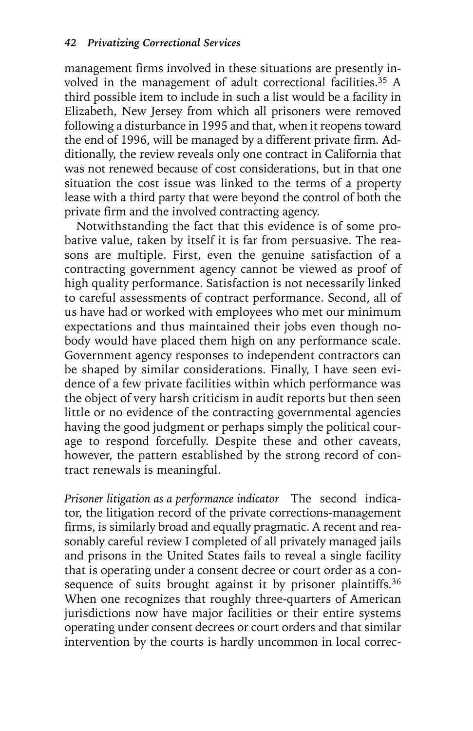management firms involved in these situations are presently involved in the management of adult correctional facilities.<sup>35</sup> A third possible item to include in such a list would be a facility in Elizabeth, New Jersey from which all prisoners were removed following a disturbance in 1995 and that, when it reopens toward the end of 1996, will be managed by a different private firm. Additionally, the review reveals only one contract in California that was not renewed because of cost considerations, but in that one situation the cost issue was linked to the terms of a property lease with a third party that were beyond the control of both the private firm and the involved contracting agency.

Notwithstanding the fact that this evidence is of some probative value, taken by itself it is far from persuasive. The reasons are multiple. First, even the genuine satisfaction of a contracting government agency cannot be viewed as proof of high quality performance. Satisfaction is not necessarily linked to careful assessments of contract performance. Second, all of us have had or worked with employees who met our minimum expectations and thus maintained their jobs even though nobody would have placed them high on any performance scale. Government agency responses to independent contractors can be shaped by similar considerations. Finally, I have seen evidence of a few private facilities within which performance was the object of very harsh criticism in audit reports but then seen little or no evidence of the contracting governmental agencies having the good judgment or perhaps simply the political courage to respond forcefully. Despite these and other caveats, however, the pattern established by the strong record of contract renewals is meaningful.

*Prisoner litigation as a performance indicator* The second indicator, the litigation record of the private corrections-management firms, is similarly broad and equally pragmatic. A recent and reasonably careful review I completed of all privately managed jails and prisons in the United States fails to reveal a single facility that is operating under a consent decree or court order as a consequence of suits brought against it by prisoner plaintiffs.<sup>36</sup> When one recognizes that roughly three-quarters of American jurisdictions now have major facilities or their entire systems operating under consent decrees or court orders and that similar intervention by the courts is hardly uncommon in local correc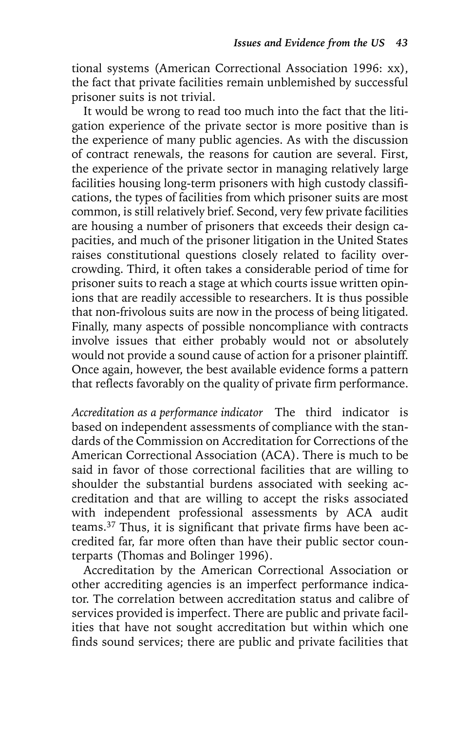tional systems (American Correctional Association 1996: xx), the fact that private facilities remain unblemished by successful prisoner suits is not trivial.

It would be wrong to read too much into the fact that the litigation experience of the private sector is more positive than is the experience of many public agencies. As with the discussion of contract renewals, the reasons for caution are several. First, the experience of the private sector in managing relatively large facilities housing long-term prisoners with high custody classifications, the types of facilities from which prisoner suits are most common, is still relatively brief. Second, very few private facilities are housing a number of prisoners that exceeds their design capacities, and much of the prisoner litigation in the United States raises constitutional questions closely related to facility overcrowding. Third, it often takes a considerable period of time for prisoner suits to reach a stage at which courts issue written opinions that are readily accessible to researchers. It is thus possible that non-frivolous suits are now in the process of being litigated. Finally, many aspects of possible noncompliance with contracts involve issues that either probably would not or absolutely would not provide a sound cause of action for a prisoner plaintiff. Once again, however, the best available evidence forms a pattern that reflects favorably on the quality of private firm performance.

*Accreditation as a performance indicator* The third indicator is based on independent assessments of compliance with the standards of the Commission on Accreditation for Corrections of the American Correctional Association (ACA). There is much to be said in favor of those correctional facilities that are willing to shoulder the substantial burdens associated with seeking accreditation and that are willing to accept the risks associated with independent professional assessments by ACA audit teams.37 Thus, it is significant that private firms have been accredited far, far more often than have their public sector counterparts (Thomas and Bolinger 1996).

Accreditation by the American Correctional Association or other accrediting agencies is an imperfect performance indicator. The correlation between accreditation status and calibre of services provided is imperfect. There are public and private facilities that have not sought accreditation but within which one finds sound services; there are public and private facilities that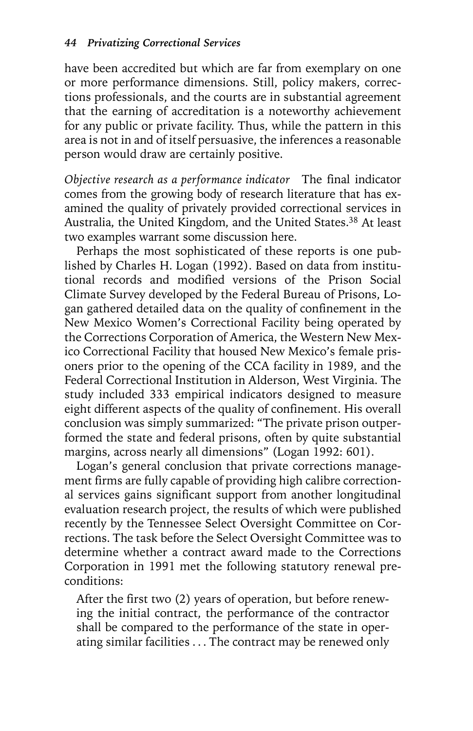have been accredited but which are far from exemplary on one or more performance dimensions. Still, policy makers, corrections professionals, and the courts are in substantial agreement that the earning of accreditation is a noteworthy achievement for any public or private facility. Thus, while the pattern in this area is not in and of itself persuasive, the inferences a reasonable person would draw are certainly positive.

*Objective research as a performance indicator* The final indicator comes from the growing body of research literature that has examined the quality of privately provided correctional services in Australia, the United Kingdom, and the United States.38 At least two examples warrant some discussion here.

Perhaps the most sophisticated of these reports is one published by Charles H. Logan (1992). Based on data from institutional records and modified versions of the Prison Social Climate Survey developed by the Federal Bureau of Prisons, Logan gathered detailed data on the quality of confinement in the New Mexico Women's Correctional Facility being operated by the Corrections Corporation of America, the Western New Mexico Correctional Facility that housed New Mexico's female prisoners prior to the opening of the CCA facility in 1989, and the Federal Correctional Institution in Alderson, West Virginia. The study included 333 empirical indicators designed to measure eight different aspects of the quality of confinement. His overall conclusion was simply summarized: "The private prison outperformed the state and federal prisons, often by quite substantial margins, across nearly all dimensions" (Logan 1992: 601).

Logan's general conclusion that private corrections management firms are fully capable of providing high calibre correctional services gains significant support from another longitudinal evaluation research project, the results of which were published recently by the Tennessee Select Oversight Committee on Corrections. The task before the Select Oversight Committee was to determine whether a contract award made to the Corrections Corporation in 1991 met the following statutory renewal preconditions:

After the first two (2) years of operation, but before renewing the initial contract, the performance of the contractor shall be compared to the performance of the state in operating similar facilities . . . The contract may be renewed only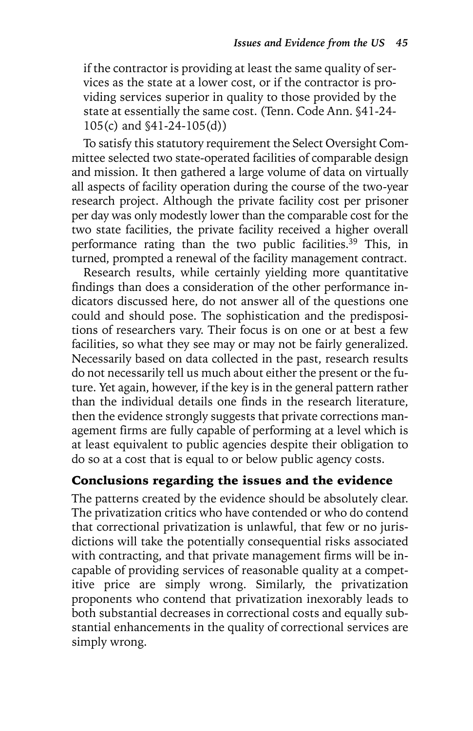if the contractor is providing at least the same quality of services as the state at a lower cost, or if the contractor is providing services superior in quality to those provided by the state at essentially the same cost. (Tenn. Code Ann. §41-24- 105(c) and §41-24-105(d))

To satisfy this statutory requirement the Select Oversight Committee selected two state-operated facilities of comparable design and mission. It then gathered a large volume of data on virtually all aspects of facility operation during the course of the two-year research project. Although the private facility cost per prisoner per day was only modestly lower than the comparable cost for the two state facilities, the private facility received a higher overall performance rating than the two public facilities.<sup>39</sup> This, in turned, prompted a renewal of the facility management contract.

Research results, while certainly yielding more quantitative findings than does a consideration of the other performance indicators discussed here, do not answer all of the questions one could and should pose. The sophistication and the predispositions of researchers vary. Their focus is on one or at best a few facilities, so what they see may or may not be fairly generalized. Necessarily based on data collected in the past, research results do not necessarily tell us much about either the present or the future. Yet again, however, if the key is in the general pattern rather than the individual details one finds in the research literature, then the evidence strongly suggests that private corrections management firms are fully capable of performing at a level which is at least equivalent to public agencies despite their obligation to do so at a cost that is equal to or below public agency costs.

# Conclusions regarding the issues and the evidence

The patterns created by the evidence should be absolutely clear. The privatization critics who have contended or who do contend that correctional privatization is unlawful, that few or no jurisdictions will take the potentially consequential risks associated with contracting, and that private management firms will be incapable of providing services of reasonable quality at a competitive price are simply wrong. Similarly, the privatization proponents who contend that privatization inexorably leads to both substantial decreases in correctional costs and equally substantial enhancements in the quality of correctional services are simply wrong.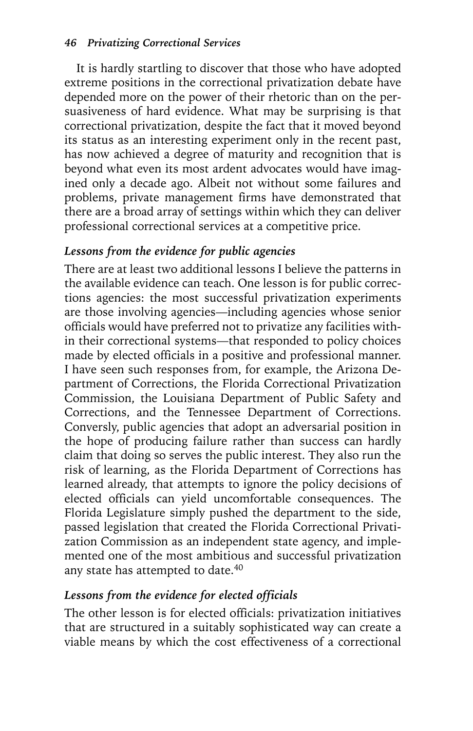It is hardly startling to discover that those who have adopted extreme positions in the correctional privatization debate have depended more on the power of their rhetoric than on the persuasiveness of hard evidence. What may be surprising is that correctional privatization, despite the fact that it moved beyond its status as an interesting experiment only in the recent past, has now achieved a degree of maturity and recognition that is beyond what even its most ardent advocates would have imagined only a decade ago. Albeit not without some failures and problems, private management firms have demonstrated that there are a broad array of settings within which they can deliver professional correctional services at a competitive price.

## *Lessons from the evidence for public agencies*

There are at least two additional lessons I believe the patterns in the available evidence can teach. One lesson is for public corrections agencies: the most successful privatization experiments are those involving agencies—including agencies whose senior officials would have preferred not to privatize any facilities within their correctional systems—that responded to policy choices made by elected officials in a positive and professional manner. I have seen such responses from, for example, the Arizona Department of Corrections, the Florida Correctional Privatization Commission, the Louisiana Department of Public Safety and Corrections, and the Tennessee Department of Corrections. Conversly, public agencies that adopt an adversarial position in the hope of producing failure rather than success can hardly claim that doing so serves the public interest. They also run the risk of learning, as the Florida Department of Corrections has learned already, that attempts to ignore the policy decisions of elected officials can yield uncomfortable consequences. The Florida Legislature simply pushed the department to the side, passed legislation that created the Florida Correctional Privatization Commission as an independent state agency, and implemented one of the most ambitious and successful privatization any state has attempted to date.<sup>40</sup>

# *Lessons from the evidence for elected officials*

The other lesson is for elected officials: privatization initiatives that are structured in a suitably sophisticated way can create a viable means by which the cost effectiveness of a correctional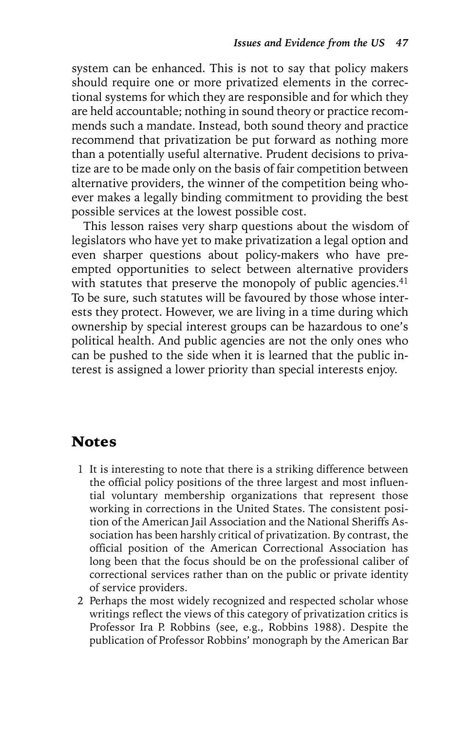system can be enhanced. This is not to say that policy makers should require one or more privatized elements in the correctional systems for which they are responsible and for which they are held accountable; nothing in sound theory or practice recommends such a mandate. Instead, both sound theory and practice recommend that privatization be put forward as nothing more than a potentially useful alternative. Prudent decisions to privatize are to be made only on the basis of fair competition between alternative providers, the winner of the competition being whoever makes a legally binding commitment to providing the best possible services at the lowest possible cost.

This lesson raises very sharp questions about the wisdom of legislators who have yet to make privatization a legal option and even sharper questions about policy-makers who have preempted opportunities to select between alternative providers with statutes that preserve the monopoly of public agencies. $41$ To be sure, such statutes will be favoured by those whose interests they protect. However, we are living in a time during which ownership by special interest groups can be hazardous to one's political health. And public agencies are not the only ones who can be pushed to the side when it is learned that the public interest is assigned a lower priority than special interests enjoy.

# Notes

- 1 It is interesting to note that there is a striking difference between the official policy positions of the three largest and most influential voluntary membership organizations that represent those working in corrections in the United States. The consistent position of the American Jail Association and the National Sheriffs Association has been harshly critical of privatization. By contrast, the official position of the American Correctional Association has long been that the focus should be on the professional caliber of correctional services rather than on the public or private identity of service providers.
- 2 Perhaps the most widely recognized and respected scholar whose writings reflect the views of this category of privatization critics is Professor Ira P. Robbins (see, e.g., Robbins 1988). Despite the publication of Professor Robbins' monograph by the American Bar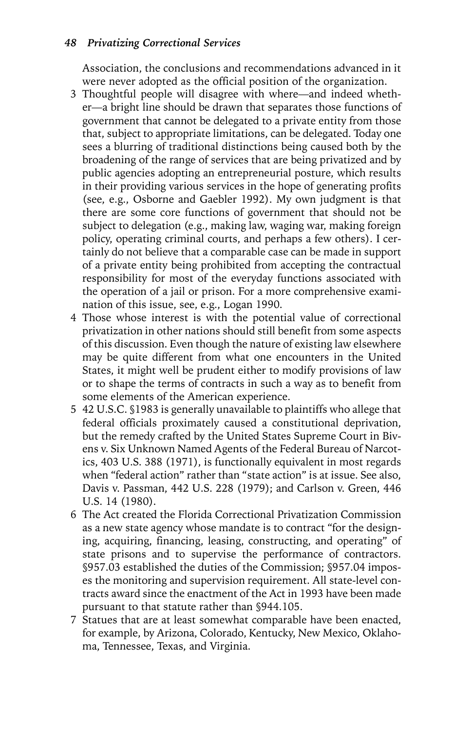#### *48 Privatizing Correctional Services*

Association, the conclusions and recommendations advanced in it were never adopted as the official position of the organization.

- 3 Thoughtful people will disagree with where—and indeed whether—a bright line should be drawn that separates those functions of government that cannot be delegated to a private entity from those that, subject to appropriate limitations, can be delegated. Today one sees a blurring of traditional distinctions being caused both by the broadening of the range of services that are being privatized and by public agencies adopting an entrepreneurial posture, which results in their providing various services in the hope of generating profits (see, e.g., Osborne and Gaebler 1992). My own judgment is that there are some core functions of government that should not be subject to delegation (e.g., making law, waging war, making foreign policy, operating criminal courts, and perhaps a few others). I certainly do not believe that a comparable case can be made in support of a private entity being prohibited from accepting the contractual responsibility for most of the everyday functions associated with the operation of a jail or prison. For a more comprehensive examination of this issue, see, e.g., Logan 1990.
- 4 Those whose interest is with the potential value of correctional privatization in other nations should still benefit from some aspects of this discussion. Even though the nature of existing law elsewhere may be quite different from what one encounters in the United States, it might well be prudent either to modify provisions of law or to shape the terms of contracts in such a way as to benefit from some elements of the American experience.
- 5 42 U.S.C. §1983 is generally unavailable to plaintiffs who allege that federal officials proximately caused a constitutional deprivation, but the remedy crafted by the United States Supreme Court in Bivens v. Six Unknown Named Agents of the Federal Bureau of Narcotics, 403 U.S. 388 (1971), is functionally equivalent in most regards when "federal action" rather than "state action" is at issue. See also, Davis v. Passman, 442 U.S. 228 (1979); and Carlson v. Green, 446 U.S. 14 (1980).
- 6 The Act created the Florida Correctional Privatization Commission as a new state agency whose mandate is to contract "for the designing, acquiring, financing, leasing, constructing, and operating" of state prisons and to supervise the performance of contractors. §957.03 established the duties of the Commission; §957.04 imposes the monitoring and supervision requirement. All state-level contracts award since the enactment of the Act in 1993 have been made pursuant to that statute rather than §944.105.
- 7 Statues that are at least somewhat comparable have been enacted, for example, by Arizona, Colorado, Kentucky, New Mexico, Oklahoma, Tennessee, Texas, and Virginia.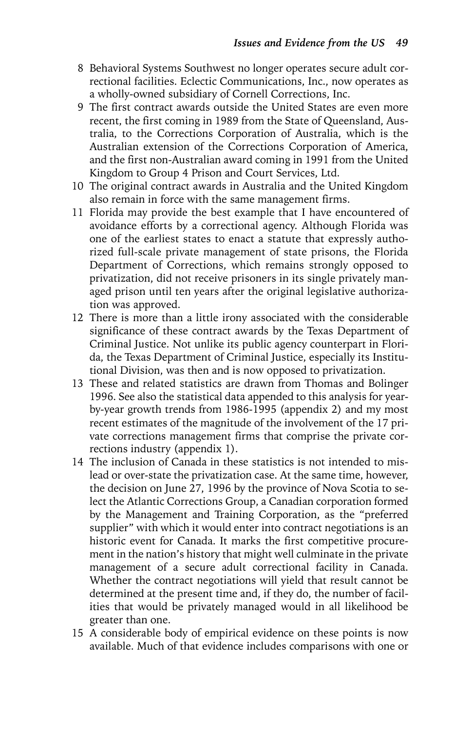- 8 Behavioral Systems Southwest no longer operates secure adult correctional facilities. Eclectic Communications, Inc., now operates as a wholly-owned subsidiary of Cornell Corrections, Inc.
- 9 The first contract awards outside the United States are even more recent, the first coming in 1989 from the State of Queensland, Australia, to the Corrections Corporation of Australia, which is the Australian extension of the Corrections Corporation of America, and the first non-Australian award coming in 1991 from the United Kingdom to Group 4 Prison and Court Services, Ltd.
- 10 The original contract awards in Australia and the United Kingdom also remain in force with the same management firms.
- 11 Florida may provide the best example that I have encountered of avoidance efforts by a correctional agency. Although Florida was one of the earliest states to enact a statute that expressly authorized full-scale private management of state prisons, the Florida Department of Corrections, which remains strongly opposed to privatization, did not receive prisoners in its single privately managed prison until ten years after the original legislative authorization was approved.
- 12 There is more than a little irony associated with the considerable significance of these contract awards by the Texas Department of Criminal Justice. Not unlike its public agency counterpart in Florida, the Texas Department of Criminal Justice, especially its Institutional Division, was then and is now opposed to privatization.
- 13 These and related statistics are drawn from Thomas and Bolinger 1996. See also the statistical data appended to this analysis for yearby-year growth trends from 1986-1995 (appendix 2) and my most recent estimates of the magnitude of the involvement of the 17 private corrections management firms that comprise the private corrections industry (appendix 1).
- 14 The inclusion of Canada in these statistics is not intended to mislead or over-state the privatization case. At the same time, however, the decision on June 27, 1996 by the province of Nova Scotia to select the Atlantic Corrections Group, a Canadian corporation formed by the Management and Training Corporation, as the "preferred supplier" with which it would enter into contract negotiations is an historic event for Canada. It marks the first competitive procurement in the nation's history that might well culminate in the private management of a secure adult correctional facility in Canada. Whether the contract negotiations will yield that result cannot be determined at the present time and, if they do, the number of facilities that would be privately managed would in all likelihood be greater than one.
- 15 A considerable body of empirical evidence on these points is now available. Much of that evidence includes comparisons with one or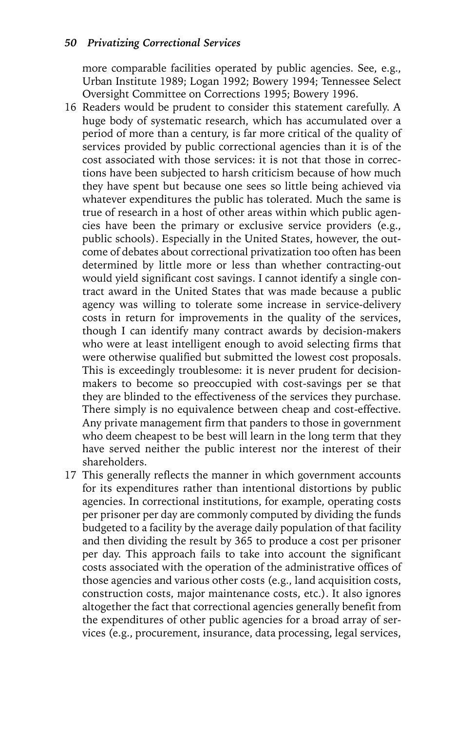more comparable facilities operated by public agencies. See, e.g., Urban Institute 1989; Logan 1992; Bowery 1994; Tennessee Select Oversight Committee on Corrections 1995; Bowery 1996.

- 16 Readers would be prudent to consider this statement carefully. A huge body of systematic research, which has accumulated over a period of more than a century, is far more critical of the quality of services provided by public correctional agencies than it is of the cost associated with those services: it is not that those in corrections have been subjected to harsh criticism because of how much they have spent but because one sees so little being achieved via whatever expenditures the public has tolerated. Much the same is true of research in a host of other areas within which public agencies have been the primary or exclusive service providers (e.g., public schools). Especially in the United States, however, the outcome of debates about correctional privatization too often has been determined by little more or less than whether contracting-out would yield significant cost savings. I cannot identify a single contract award in the United States that was made because a public agency was willing to tolerate some increase in service-delivery costs in return for improvements in the quality of the services, though I can identify many contract awards by decision-makers who were at least intelligent enough to avoid selecting firms that were otherwise qualified but submitted the lowest cost proposals. This is exceedingly troublesome: it is never prudent for decisionmakers to become so preoccupied with cost-savings per se that they are blinded to the effectiveness of the services they purchase. There simply is no equivalence between cheap and cost-effective. Any private management firm that panders to those in government who deem cheapest to be best will learn in the long term that they have served neither the public interest nor the interest of their shareholders.
- 17 This generally reflects the manner in which government accounts for its expenditures rather than intentional distortions by public agencies. In correctional institutions, for example, operating costs per prisoner per day are commonly computed by dividing the funds budgeted to a facility by the average daily population of that facility and then dividing the result by 365 to produce a cost per prisoner per day. This approach fails to take into account the significant costs associated with the operation of the administrative offices of those agencies and various other costs (e.g., land acquisition costs, construction costs, major maintenance costs, etc.). It also ignores altogether the fact that correctional agencies generally benefit from the expenditures of other public agencies for a broad array of services (e.g., procurement, insurance, data processing, legal services,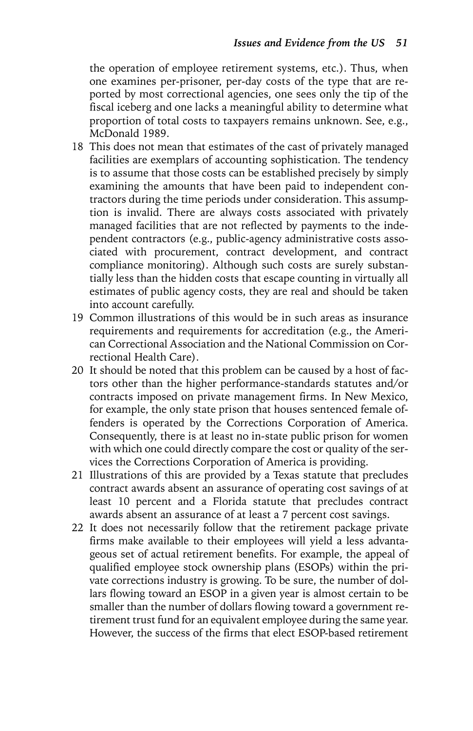the operation of employee retirement systems, etc.). Thus, when one examines per-prisoner, per-day costs of the type that are reported by most correctional agencies, one sees only the tip of the fiscal iceberg and one lacks a meaningful ability to determine what proportion of total costs to taxpayers remains unknown. See, e.g., McDonald 1989.

- 18 This does not mean that estimates of the cast of privately managed facilities are exemplars of accounting sophistication. The tendency is to assume that those costs can be established precisely by simply examining the amounts that have been paid to independent contractors during the time periods under consideration. This assumption is invalid. There are always costs associated with privately managed facilities that are not reflected by payments to the independent contractors (e.g., public-agency administrative costs associated with procurement, contract development, and contract compliance monitoring). Although such costs are surely substantially less than the hidden costs that escape counting in virtually all estimates of public agency costs, they are real and should be taken into account carefully.
- 19 Common illustrations of this would be in such areas as insurance requirements and requirements for accreditation (e.g., the American Correctional Association and the National Commission on Correctional Health Care).
- 20 It should be noted that this problem can be caused by a host of factors other than the higher performance-standards statutes and/or contracts imposed on private management firms. In New Mexico, for example, the only state prison that houses sentenced female offenders is operated by the Corrections Corporation of America. Consequently, there is at least no in-state public prison for women with which one could directly compare the cost or quality of the services the Corrections Corporation of America is providing.
- 21 Illustrations of this are provided by a Texas statute that precludes contract awards absent an assurance of operating cost savings of at least 10 percent and a Florida statute that precludes contract awards absent an assurance of at least a 7 percent cost savings.
- 22 It does not necessarily follow that the retirement package private firms make available to their employees will yield a less advantageous set of actual retirement benefits. For example, the appeal of qualified employee stock ownership plans (ESOPs) within the private corrections industry is growing. To be sure, the number of dollars flowing toward an ESOP in a given year is almost certain to be smaller than the number of dollars flowing toward a government retirement trust fund for an equivalent employee during the same year. However, the success of the firms that elect ESOP-based retirement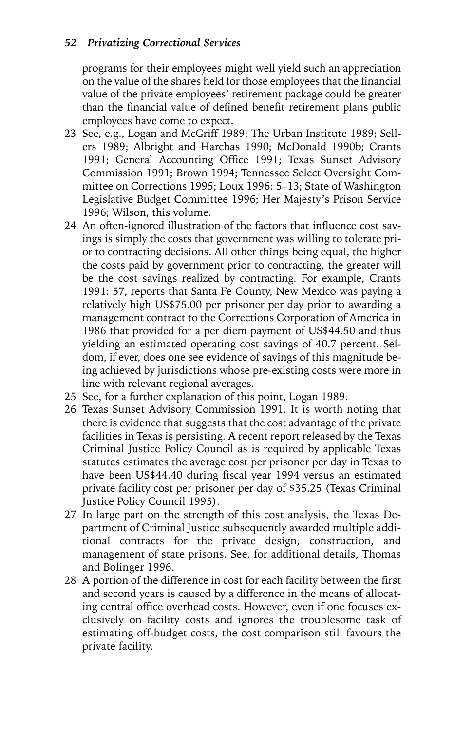#### *52 Privatizing Correctional Services*

programs for their employees might well yield such an appreciation on the value of the shares held for those employees that the financial value of the private employees' retirement package could be greater than the financial value of defined benefit retirement plans public employees have come to expect.

- 23 See, e.g., Logan and McGriff 1989; The Urban Institute 1989; Sellers 1989; Albright and Harchas 1990; McDonald 1990b; Crants 1991; General Accounting Office 1991; Texas Sunset Advisory Commission 1991; Brown 1994; Tennessee Select Oversight Committee on Corrections 1995; Loux 1996: 5–13; State of Washington Legislative Budget Committee 1996; Her Majesty's Prison Service 1996; Wilson, this volume.
- 24 An often-ignored illustration of the factors that influence cost savings is simply the costs that government was willing to tolerate prior to contracting decisions. All other things being equal, the higher the costs paid by government prior to contracting, the greater will be the cost savings realized by contracting. For example, Crants 1991: 57, reports that Santa Fe County, New Mexico was paying a relatively high US\$75.00 per prisoner per day prior to awarding a management contract to the Corrections Corporation of America in 1986 that provided for a per diem payment of US\$44.50 and thus yielding an estimated operating cost savings of 40.7 percent. Seldom, if ever, does one see evidence of savings of this magnitude being achieved by jurisdictions whose pre-existing costs were more in line with relevant regional averages.
- 25 See, for a further explanation of this point, Logan 1989.
- 26 Texas Sunset Advisory Commission 1991. It is worth noting that there is evidence that suggests that the cost advantage of the private facilities in Texas is persisting. A recent report released by the Texas Criminal Justice Policy Council as is required by applicable Texas statutes estimates the average cost per prisoner per day in Texas to have been US\$44.40 during fiscal year 1994 versus an estimated private facility cost per prisoner per day of \$35.25 (Texas Criminal Justice Policy Council 1995).
- 27 In large part on the strength of this cost analysis, the Texas Department of Criminal Justice subsequently awarded multiple additional contracts for the private design, construction, and management of state prisons. See, for additional details, Thomas and Bolinger 1996.
- 28 A portion of the difference in cost for each facility between the first and second years is caused by a difference in the means of allocating central office overhead costs. However, even if one focuses exclusively on facility costs and ignores the troublesome task of estimating off-budget costs, the cost comparison still favours the private facility.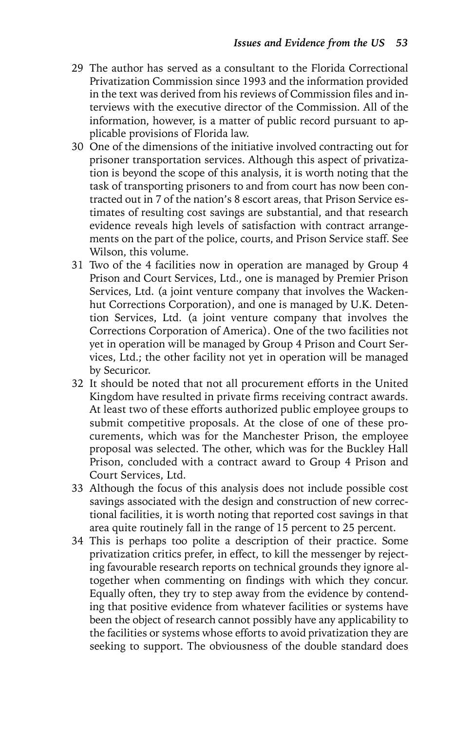- 29 The author has served as a consultant to the Florida Correctional Privatization Commission since 1993 and the information provided in the text was derived from his reviews of Commission files and interviews with the executive director of the Commission. All of the information, however, is a matter of public record pursuant to applicable provisions of Florida law.
- 30 One of the dimensions of the initiative involved contracting out for prisoner transportation services. Although this aspect of privatization is beyond the scope of this analysis, it is worth noting that the task of transporting prisoners to and from court has now been contracted out in 7 of the nation's 8 escort areas, that Prison Service estimates of resulting cost savings are substantial, and that research evidence reveals high levels of satisfaction with contract arrangements on the part of the police, courts, and Prison Service staff. See Wilson, this volume.
- 31 Two of the 4 facilities now in operation are managed by Group 4 Prison and Court Services, Ltd., one is managed by Premier Prison Services, Ltd. (a joint venture company that involves the Wackenhut Corrections Corporation), and one is managed by U.K. Detention Services, Ltd. (a joint venture company that involves the Corrections Corporation of America). One of the two facilities not yet in operation will be managed by Group 4 Prison and Court Services, Ltd.; the other facility not yet in operation will be managed by Securicor.
- 32 It should be noted that not all procurement efforts in the United Kingdom have resulted in private firms receiving contract awards. At least two of these efforts authorized public employee groups to submit competitive proposals. At the close of one of these procurements, which was for the Manchester Prison, the employee proposal was selected. The other, which was for the Buckley Hall Prison, concluded with a contract award to Group 4 Prison and Court Services, Ltd.
- 33 Although the focus of this analysis does not include possible cost savings associated with the design and construction of new correctional facilities, it is worth noting that reported cost savings in that area quite routinely fall in the range of 15 percent to 25 percent.
- 34 This is perhaps too polite a description of their practice. Some privatization critics prefer, in effect, to kill the messenger by rejecting favourable research reports on technical grounds they ignore altogether when commenting on findings with which they concur. Equally often, they try to step away from the evidence by contending that positive evidence from whatever facilities or systems have been the object of research cannot possibly have any applicability to the facilities or systems whose efforts to avoid privatization they are seeking to support. The obviousness of the double standard does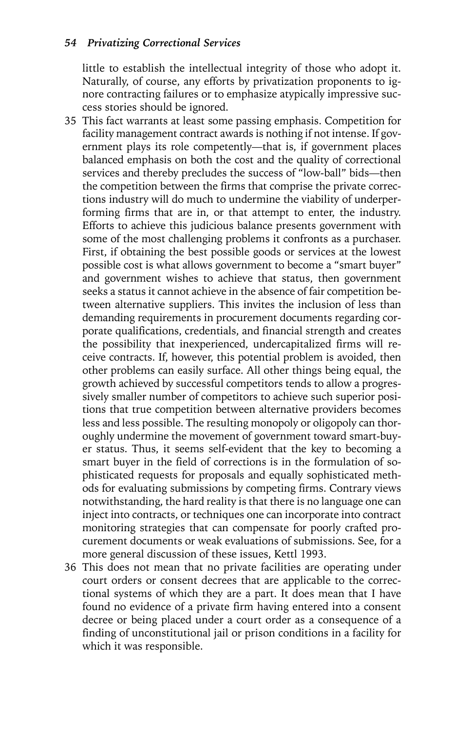little to establish the intellectual integrity of those who adopt it. Naturally, of course, any efforts by privatization proponents to ignore contracting failures or to emphasize atypically impressive success stories should be ignored.

- 35 This fact warrants at least some passing emphasis. Competition for facility management contract awards is nothing if not intense. If government plays its role competently—that is, if government places balanced emphasis on both the cost and the quality of correctional services and thereby precludes the success of "low-ball" bids—then the competition between the firms that comprise the private corrections industry will do much to undermine the viability of underperforming firms that are in, or that attempt to enter, the industry. Efforts to achieve this judicious balance presents government with some of the most challenging problems it confronts as a purchaser. First, if obtaining the best possible goods or services at the lowest possible cost is what allows government to become a "smart buyer" and government wishes to achieve that status, then government seeks a status it cannot achieve in the absence of fair competition between alternative suppliers. This invites the inclusion of less than demanding requirements in procurement documents regarding corporate qualifications, credentials, and financial strength and creates the possibility that inexperienced, undercapitalized firms will receive contracts. If, however, this potential problem is avoided, then other problems can easily surface. All other things being equal, the growth achieved by successful competitors tends to allow a progressively smaller number of competitors to achieve such superior positions that true competition between alternative providers becomes less and less possible. The resulting monopoly or oligopoly can thoroughly undermine the movement of government toward smart-buyer status. Thus, it seems self-evident that the key to becoming a smart buyer in the field of corrections is in the formulation of sophisticated requests for proposals and equally sophisticated methods for evaluating submissions by competing firms. Contrary views notwithstanding, the hard reality is that there is no language one can inject into contracts, or techniques one can incorporate into contract monitoring strategies that can compensate for poorly crafted procurement documents or weak evaluations of submissions. See, for a more general discussion of these issues, Kettl 1993.
- 36 This does not mean that no private facilities are operating under court orders or consent decrees that are applicable to the correctional systems of which they are a part. It does mean that I have found no evidence of a private firm having entered into a consent decree or being placed under a court order as a consequence of a finding of unconstitutional jail or prison conditions in a facility for which it was responsible.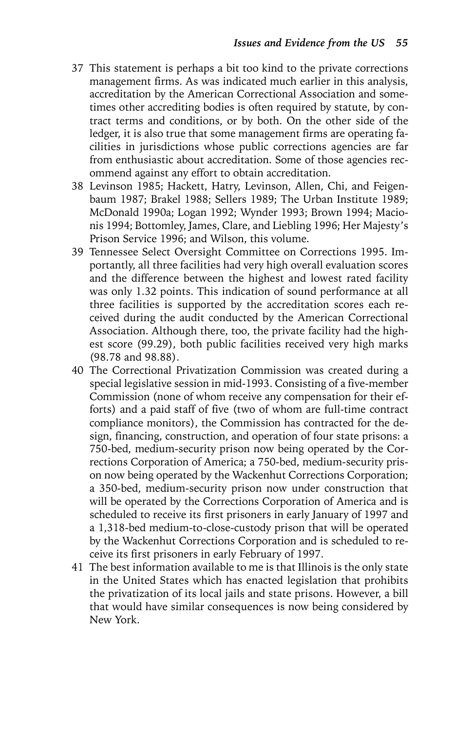- 37 This statement is perhaps a bit too kind to the private corrections management firms. As was indicated much earlier in this analysis, accreditation by the American Correctional Association and sometimes other accrediting bodies is often required by statute, by contract terms and conditions, or by both. On the other side of the ledger, it is also true that some management firms are operating facilities in jurisdictions whose public corrections agencies are far from enthusiastic about accreditation. Some of those agencies recommend against any effort to obtain accreditation.
- 38 Levinson 1985; Hackett, Hatry, Levinson, Allen, Chi, and Feigenbaum 1987; Brakel 1988; Sellers 1989; The Urban Institute 1989; McDonald 1990a; Logan 1992; Wynder 1993; Brown 1994; Macionis 1994; Bottomley, James, Clare, and Liebling 1996; Her Majesty's Prison Service 1996; and Wilson, this volume.
- 39 Tennessee Select Oversight Committee on Corrections 1995. Importantly, all three facilities had very high overall evaluation scores and the difference between the highest and lowest rated facility was only 1.32 points. This indication of sound performance at all three facilities is supported by the accreditation scores each received during the audit conducted by the American Correctional Association. Although there, too, the private facility had the highest score (99.29), both public facilities received very high marks (98.78 and 98.88).
- 40 The Correctional Privatization Commission was created during a special legislative session in mid-1993. Consisting of a five-member Commission (none of whom receive any compensation for their efforts) and a paid staff of five (two of whom are full-time contract compliance monitors), the Commission has contracted for the design, financing, construction, and operation of four state prisons: a 750-bed, medium-security prison now being operated by the Corrections Corporation of America; a 750-bed, medium-security prison now being operated by the Wackenhut Corrections Corporation; a 350-bed, medium-security prison now under construction that will be operated by the Corrections Corporation of America and is scheduled to receive its first prisoners in early January of 1997 and a 1,318-bed medium-to-close-custody prison that will be operated by the Wackenhut Corrections Corporation and is scheduled to receive its first prisoners in early February of 1997.
- 41 The best information available to me is that Illinois is the only state in the United States which has enacted legislation that prohibits the privatization of its local jails and state prisons. However, a bill that would have similar consequences is now being considered by New York.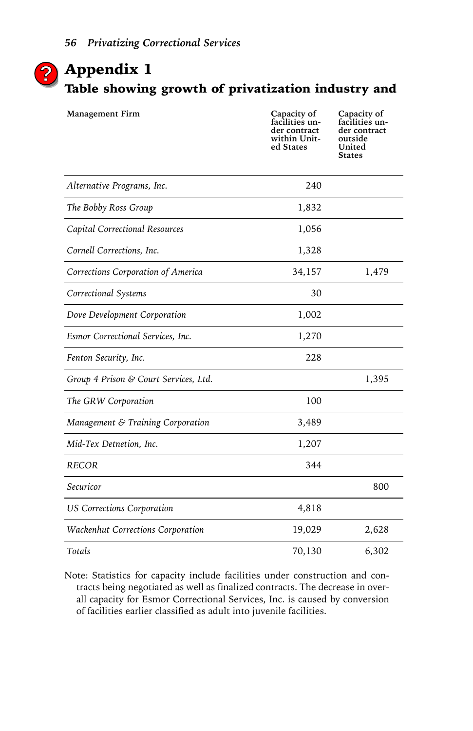

# Appendix 1 **?**Table showing growth of privatization industry and

| Management Firm                       | Capacity of<br>facilities un-<br>der contract<br>within Unit-<br>ed States | Capacity of<br>facilities un-<br>der contract<br>outside<br>United<br><b>States</b> |
|---------------------------------------|----------------------------------------------------------------------------|-------------------------------------------------------------------------------------|
| Alternative Programs, Inc.            | 240                                                                        |                                                                                     |
| The Bobby Ross Group                  | 1,832                                                                      |                                                                                     |
| Capital Correctional Resources        | 1,056                                                                      |                                                                                     |
| Cornell Corrections, Inc.             | 1,328                                                                      |                                                                                     |
| Corrections Corporation of America    | 34,157                                                                     | 1,479                                                                               |
| Correctional Systems                  | 30                                                                         |                                                                                     |
| Dove Development Corporation          | 1,002                                                                      |                                                                                     |
| Esmor Correctional Services, Inc.     | 1,270                                                                      |                                                                                     |
| Fenton Security, Inc.                 | 228                                                                        |                                                                                     |
| Group 4 Prison & Court Services, Ltd. |                                                                            | 1,395                                                                               |
| The GRW Corporation                   | 100                                                                        |                                                                                     |
| Management & Training Corporation     | 3,489                                                                      |                                                                                     |
| Mid-Tex Detnetion, Inc.               | 1,207                                                                      |                                                                                     |
| <b>RECOR</b>                          | 344                                                                        |                                                                                     |
| Securicor                             |                                                                            | 800                                                                                 |
| <b>US Corrections Corporation</b>     | 4,818                                                                      |                                                                                     |
| Wackenhut Corrections Corporation     | 19,029                                                                     | 2,628                                                                               |
| Totals                                | 70,130                                                                     | 6,302                                                                               |

Note: Statistics for capacity include facilities under construction and contracts being negotiated as well as finalized contracts. The decrease in overall capacity for Esmor Correctional Services, Inc. is caused by conversion of facilities earlier classified as adult into juvenile facilities.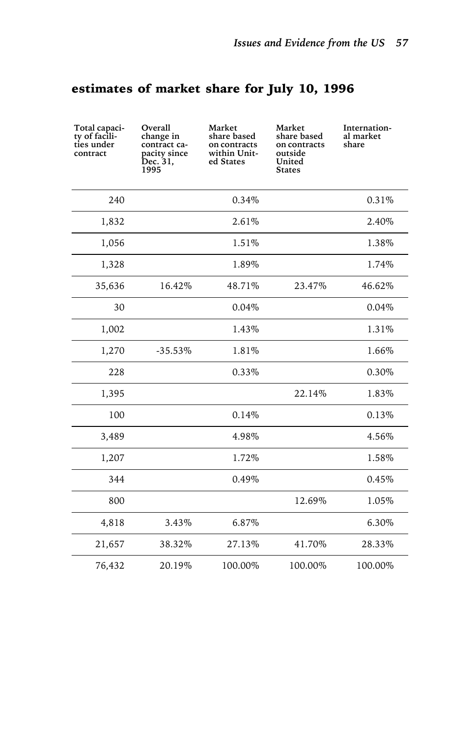# estimates of market share for July 10, 1996

| Total capaci-<br>ty of facili-<br>ties under<br>contract | Overall<br>change in<br>contract ca-<br>pacity since<br>Dec. 31,<br>1995 | Market<br>share based<br>on contracts<br>within Unit-<br>ed States | Market<br>share based<br>on contracts<br>outside<br>United<br><b>States</b> | Internation-<br>al market<br>share |
|----------------------------------------------------------|--------------------------------------------------------------------------|--------------------------------------------------------------------|-----------------------------------------------------------------------------|------------------------------------|
| 240                                                      |                                                                          | 0.34%                                                              |                                                                             | 0.31%                              |
| 1,832                                                    |                                                                          | 2.61%                                                              |                                                                             | 2.40%                              |
| 1,056                                                    |                                                                          | 1.51%                                                              |                                                                             | 1.38%                              |
| 1,328                                                    |                                                                          | 1.89%                                                              |                                                                             | 1.74%                              |
| 35,636                                                   | 16.42%                                                                   | 48.71%                                                             | 23.47%                                                                      | 46.62%                             |
| 30                                                       |                                                                          | 0.04%                                                              |                                                                             | 0.04%                              |
| 1,002                                                    |                                                                          | 1.43%                                                              |                                                                             | 1.31%                              |
| 1,270                                                    | $-35.53%$                                                                | 1.81%                                                              |                                                                             | 1.66%                              |
| 228                                                      |                                                                          | 0.33%                                                              |                                                                             | 0.30%                              |
| 1,395                                                    |                                                                          |                                                                    | 22.14%                                                                      | 1.83%                              |
| 100                                                      |                                                                          | 0.14%                                                              |                                                                             | 0.13%                              |
| 3,489                                                    |                                                                          | 4.98%                                                              |                                                                             | 4.56%                              |
| 1,207                                                    |                                                                          | 1.72%                                                              |                                                                             | 1.58%                              |
| 344                                                      |                                                                          | 0.49%                                                              |                                                                             | 0.45%                              |
| 800                                                      |                                                                          |                                                                    | 12.69%                                                                      | 1.05%                              |
| 4,818                                                    | 3.43%                                                                    | 6.87%                                                              |                                                                             | 6.30%                              |
| 21,657                                                   | 38.32%                                                                   | 27.13%                                                             | 41.70%                                                                      | 28.33%                             |
| 76,432                                                   | 20.19%                                                                   | 100.00%                                                            | 100.00%                                                                     | 100.00%                            |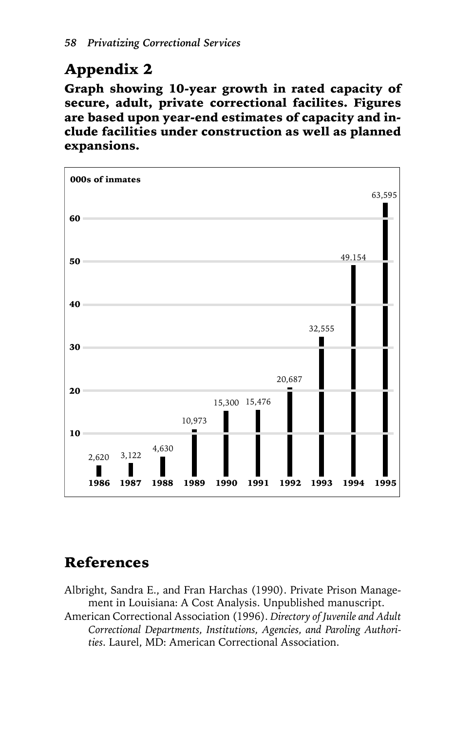# Appendix 2

Graph showing 10-year growth in rated capacity of secure, adult, private correctional facilites. Figures are based upon year-end estimates of capacity and include facilities under construction as well as planned expansions.



# References

Albright, Sandra E., and Fran Harchas (1990). Private Prison Management in Louisiana: A Cost Analysis. Unpublished manuscript.

American Correctional Association (1996). *Directory of Juvenile and Adult Correctional Departments, Institutions, Agencies, and Paroling Authorities*. Laurel, MD: American Correctional Association.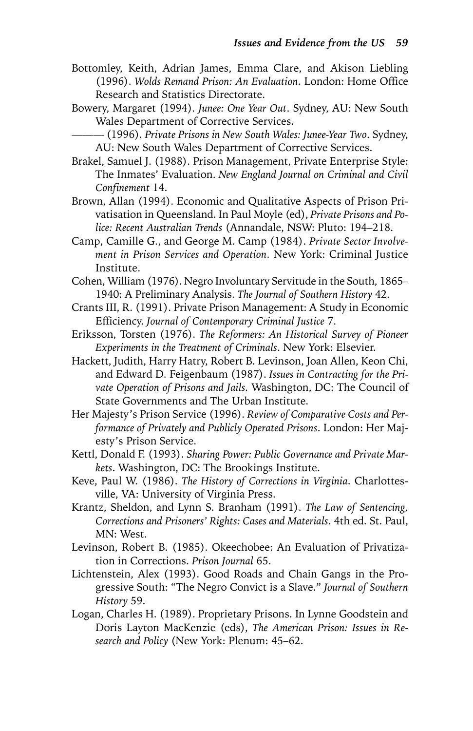- Bottomley, Keith, Adrian James, Emma Clare, and Akison Liebling (1996). *Wolds Remand Prison: An Evaluation*. London: Home Office Research and Statistics Directorate.
- Bowery, Margaret (1994). *Junee: One Year Out*. Sydney, AU: New South Wales Department of Corrective Services.
	- ——— (1996). *Private Prisons in New South Wales: Junee-Year Two*. Sydney, AU: New South Wales Department of Corrective Services.
- Brakel, Samuel J. (1988). Prison Management, Private Enterprise Style: The Inmates' Evaluation. *New England Journal on Criminal and Civil Confinement* 14.
- Brown, Allan (1994). Economic and Qualitative Aspects of Prison Privatisation in Queensland. In Paul Moyle (ed), *Private Prisons and Police: Recent Australian Trends* (Annandale, NSW: Pluto: 194–218.
- Camp, Camille G., and George M. Camp (1984). *Private Sector Involvement in Prison Services and Operation*. New York: Criminal Justice Institute.
- Cohen, William (1976). Negro Involuntary Servitude in the South, 1865– 1940: A Preliminary Analysis. *The Journal of Southern History* 42.
- Crants III, R. (1991). Private Prison Management: A Study in Economic Efficiency. *Journal of Contemporary Criminal Justice* 7.
- Eriksson, Torsten (1976). *The Reformers: An Historical Survey of Pioneer Experiments in the Treatment of Criminals*. New York: Elsevier.
- Hackett, Judith, Harry Hatry, Robert B. Levinson, Joan Allen, Keon Chi, and Edward D. Feigenbaum (1987). *Issues in Contracting for the Private Operation of Prisons and Jails*. Washington, DC: The Council of State Governments and The Urban Institute.
- Her Majesty's Prison Service (1996). *Review of Comparative Costs and Performance of Privately and Publicly Operated Prisons*. London: Her Majesty's Prison Service.
- Kettl, Donald F. (1993). *Sharing Power: Public Governance and Private Markets*. Washington, DC: The Brookings Institute.
- Keve, Paul W. (1986). *The History of Corrections in Virginia*. Charlottesville, VA: University of Virginia Press.
- Krantz, Sheldon, and Lynn S. Branham (1991). *The Law of Sentencing, Corrections and Prisoners' Rights: Cases and Materials*. 4th ed. St. Paul, MN: West.
- Levinson, Robert B. (1985). Okeechobee: An Evaluation of Privatization in Corrections. *Prison Journal* 65.
- Lichtenstein, Alex (1993). Good Roads and Chain Gangs in the Progressive South: "The Negro Convict is a Slave." *Journal of Southern History* 59.
- Logan, Charles H. (1989). Proprietary Prisons. In Lynne Goodstein and Doris Layton MacKenzie (eds), *The American Prison: Issues in Research and Policy* (New York: Plenum: 45–62.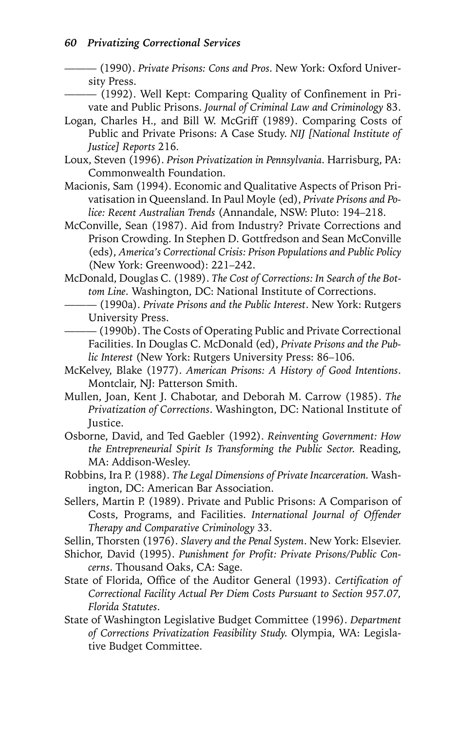——— (1990). *Private Prisons: Cons and Pros*. New York: Oxford University Press.

- ——— (1992). Well Kept: Comparing Quality of Confinement in Private and Public Prisons. *Journal of Criminal Law and Criminology* 83.
- Logan, Charles H., and Bill W. McGriff (1989). Comparing Costs of Public and Private Prisons: A Case Study. *NIJ [National Institute of Justice] Reports* 216.
- Loux, Steven (1996). *Prison Privatization in Pennsylvania*. Harrisburg, PA: Commonwealth Foundation.
- Macionis, Sam (1994). Economic and Qualitative Aspects of Prison Privatisation in Queensland. In Paul Moyle (ed), *Private Prisons and Police: Recent Australian Trends* (Annandale, NSW: Pluto: 194–218.
- McConville, Sean (1987). Aid from Industry? Private Corrections and Prison Crowding. In Stephen D. Gottfredson and Sean McConville (eds), *America's Correctional Crisis: Prison Populations and Public Policy* (New York: Greenwood): 221–242.
- McDonald, Douglas C. (1989). *The Cost of Corrections: In Search of the Bottom Line*. Washington, DC: National Institute of Corrections.
	- ——— (1990a). *Private Prisons and the Public Interest*. New York: Rutgers University Press.

——— (1990b). The Costs of Operating Public and Private Correctional Facilities. In Douglas C. McDonald (ed), *Private Prisons and the Public Interest* (New York: Rutgers University Press: 86–106.

- McKelvey, Blake (1977). *American Prisons: A History of Good Intentions*. Montclair, NJ: Patterson Smith.
- Mullen, Joan, Kent J. Chabotar, and Deborah M. Carrow (1985). *The Privatization of Corrections*. Washington, DC: National Institute of Justice.
- Osborne, David, and Ted Gaebler (1992). *Reinventing Government: How the Entrepreneurial Spirit Is Transforming the Public Sector*. Reading, MA: Addison-Wesley.
- Robbins, Ira P. (1988). *The Legal Dimensions of Private Incarceration.* Washington, DC: American Bar Association.
- Sellers, Martin P. (1989). Private and Public Prisons: A Comparison of Costs, Programs, and Facilities. *International Journal of Offender Therapy and Comparative Criminology* 33.

Sellin, Thorsten (1976). *Slavery and the Penal System*. New York: Elsevier.

- Shichor, David (1995). *Punishment for Profit: Private Prisons/Public Concerns*. Thousand Oaks, CA: Sage.
- State of Florida, Office of the Auditor General (1993). *Certification of Correctional Facility Actual Per Diem Costs Pursuant to Section 957.07, Florida Statutes*.
- State of Washington Legislative Budget Committee (1996). *Department of Corrections Privatization Feasibility Study*. Olympia, WA: Legislative Budget Committee.